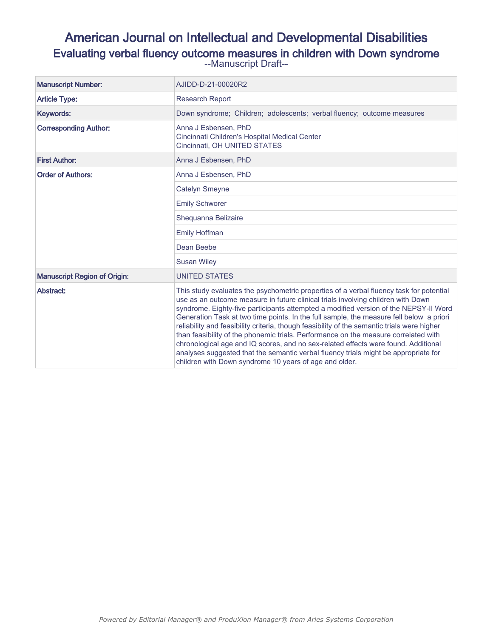# American Journal on Intellectual and Developmental Disabilities Evaluating verbal fluency outcome measures in children with Down syndrome --Manuscript Draft--

| <b>Manuscript Number:</b>           | AJIDD-D-21-00020R2                                                                                                                                                                                                                                                                                                                                                                                                                                                                                                                                                                                                                                                                                                                                                                          |
|-------------------------------------|---------------------------------------------------------------------------------------------------------------------------------------------------------------------------------------------------------------------------------------------------------------------------------------------------------------------------------------------------------------------------------------------------------------------------------------------------------------------------------------------------------------------------------------------------------------------------------------------------------------------------------------------------------------------------------------------------------------------------------------------------------------------------------------------|
| <b>Article Type:</b>                | <b>Research Report</b>                                                                                                                                                                                                                                                                                                                                                                                                                                                                                                                                                                                                                                                                                                                                                                      |
| Keywords:                           | Down syndrome; Children; adolescents; verbal fluency; outcome measures                                                                                                                                                                                                                                                                                                                                                                                                                                                                                                                                                                                                                                                                                                                      |
| <b>Corresponding Author:</b>        | Anna J Esbensen, PhD<br>Cincinnati Children's Hospital Medical Center<br>Cincinnati, OH UNITED STATES                                                                                                                                                                                                                                                                                                                                                                                                                                                                                                                                                                                                                                                                                       |
| <b>First Author:</b>                | Anna J Esbensen, PhD                                                                                                                                                                                                                                                                                                                                                                                                                                                                                                                                                                                                                                                                                                                                                                        |
| <b>Order of Authors:</b>            | Anna J Esbensen, PhD                                                                                                                                                                                                                                                                                                                                                                                                                                                                                                                                                                                                                                                                                                                                                                        |
|                                     | <b>Catelyn Smeyne</b>                                                                                                                                                                                                                                                                                                                                                                                                                                                                                                                                                                                                                                                                                                                                                                       |
|                                     | <b>Emily Schworer</b>                                                                                                                                                                                                                                                                                                                                                                                                                                                                                                                                                                                                                                                                                                                                                                       |
|                                     | Shequanna Belizaire                                                                                                                                                                                                                                                                                                                                                                                                                                                                                                                                                                                                                                                                                                                                                                         |
|                                     | <b>Emily Hoffman</b>                                                                                                                                                                                                                                                                                                                                                                                                                                                                                                                                                                                                                                                                                                                                                                        |
|                                     | Dean Beebe                                                                                                                                                                                                                                                                                                                                                                                                                                                                                                                                                                                                                                                                                                                                                                                  |
|                                     | <b>Susan Wiley</b>                                                                                                                                                                                                                                                                                                                                                                                                                                                                                                                                                                                                                                                                                                                                                                          |
| <b>Manuscript Region of Origin:</b> | <b>UNITED STATES</b>                                                                                                                                                                                                                                                                                                                                                                                                                                                                                                                                                                                                                                                                                                                                                                        |
| Abstract:                           | This study evaluates the psychometric properties of a verbal fluency task for potential<br>use as an outcome measure in future clinical trials involving children with Down<br>syndrome. Eighty-five participants attempted a modified version of the NEPSY-II Word<br>Generation Task at two time points. In the full sample, the measure fell below a priori<br>reliability and feasibility criteria, though feasibility of the semantic trials were higher<br>than feasibility of the phonemic trials. Performance on the measure correlated with<br>chronological age and IQ scores, and no sex-related effects were found. Additional<br>analyses suggested that the semantic verbal fluency trials might be appropriate for<br>children with Down syndrome 10 years of age and older. |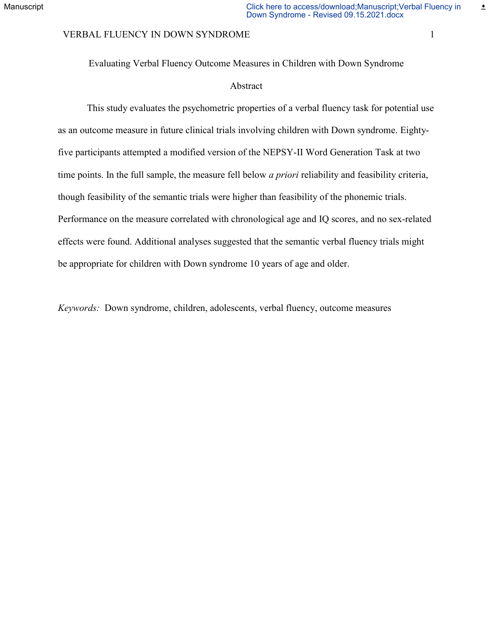#### VERBAL FLUENCY IN DOWN SYNDROME 1 1

Evaluating Verbal Fluency Outcome Measures in Children with Down Syndrome

## Abstract

This study evaluates the psychometric properties of a verbal fluency task for potential use as an outcome measure in future clinical trials involving children with Down syndrome. Eightyfive participants attempted a modified version of the NEPSY-II Word Generation Task at two time points. In the full sample, the measure fell below *a priori* reliability and feasibility criteria, though feasibility of the semantic trials were higher than feasibility of the phonemic trials. Performance on the measure correlated with chronological age and IQ scores, and no sex-related effects were found. Additional analyses suggested that the semantic verbal fluency trials might be appropriate for children with Down syndrome 10 years of age and older.

*Keywords:* Down syndrome, children, adolescents, verbal fluency, outcome measures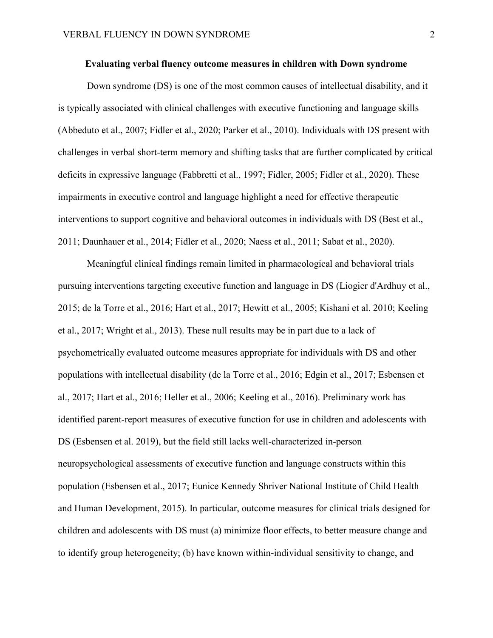## **Evaluating verbal fluency outcome measures in children with Down syndrome**

Down syndrome (DS) is one of the most common causes of intellectual disability, and it is typically associated with clinical challenges with executive functioning and language skills (Abbeduto et al., 2007; Fidler et al., 2020; Parker et al., 2010). Individuals with DS present with challenges in verbal short-term memory and shifting tasks that are further complicated by critical deficits in expressive language (Fabbretti et al., 1997; Fidler, 2005; Fidler et al., 2020). These impairments in executive control and language highlight a need for effective therapeutic interventions to support cognitive and behavioral outcomes in individuals with DS (Best et al., 2011; Daunhauer et al., 2014; Fidler et al., 2020; Naess et al., 2011; Sabat et al., 2020).

Meaningful clinical findings remain limited in pharmacological and behavioral trials pursuing interventions targeting executive function and language in DS (Liogier d'Ardhuy et al., 2015; de la Torre et al., 2016; Hart et al., 2017; Hewitt et al., 2005; Kishani et al. 2010; Keeling et al., 2017; Wright et al., 2013). These null results may be in part due to a lack of psychometrically evaluated outcome measures appropriate for individuals with DS and other populations with intellectual disability (de la Torre et al., 2016; Edgin et al., 2017; Esbensen et al., 2017; Hart et al., 2016; Heller et al., 2006; Keeling et al., 2016). Preliminary work has identified parent-report measures of executive function for use in children and adolescents with DS (Esbensen et al. 2019), but the field still lacks well-characterized in-person neuropsychological assessments of executive function and language constructs within this population (Esbensen et al., 2017; Eunice Kennedy Shriver National Institute of Child Health and Human Development, 2015). In particular, outcome measures for clinical trials designed for children and adolescents with DS must (a) minimize floor effects, to better measure change and to identify group heterogeneity; (b) have known within-individual sensitivity to change, and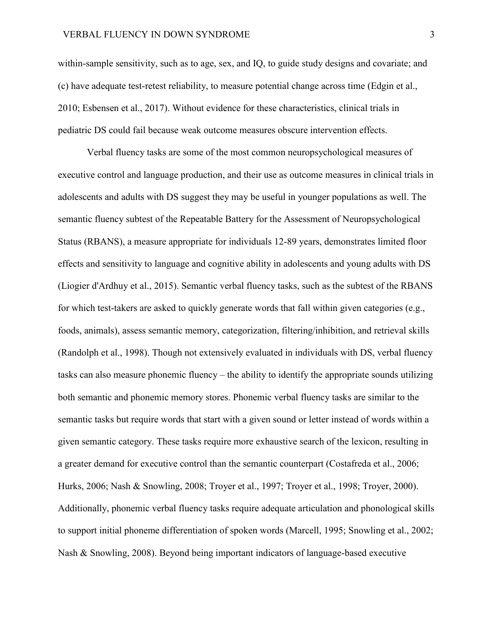within-sample sensitivity, such as to age, sex, and IQ, to guide study designs and covariate; and (c) have adequate test-retest reliability, to measure potential change across time (Edgin et al., 2010; Esbensen et al., 2017). Without evidence for these characteristics, clinical trials in pediatric DS could fail because weak outcome measures obscure intervention effects.

Verbal fluency tasks are some of the most common neuropsychological measures of executive control and language production, and their use as outcome measures in clinical trials in adolescents and adults with DS suggest they may be useful in younger populations as well. The semantic fluency subtest of the Repeatable Battery for the Assessment of Neuropsychological Status (RBANS), a measure appropriate for individuals 12-89 years, demonstrates limited floor effects and sensitivity to language and cognitive ability in adolescents and young adults with DS (Liogier d'Ardhuy et al., 2015). Semantic verbal fluency tasks, such as the subtest of the RBANS for which test-takers are asked to quickly generate words that fall within given categories (e.g., foods, animals), assess semantic memory, categorization, filtering/inhibition, and retrieval skills (Randolph et al., 1998). Though not extensively evaluated in individuals with DS, verbal fluency tasks can also measure phonemic fluency – the ability to identify the appropriate sounds utilizing both semantic and phonemic memory stores. Phonemic verbal fluency tasks are similar to the semantic tasks but require words that start with a given sound or letter instead of words within a given semantic category. These tasks require more exhaustive search of the lexicon, resulting in a greater demand for executive control than the semantic counterpart (Costafreda et al., 2006; Hurks, 2006; Nash & Snowling, 2008; Troyer et al., 1997; Troyer et al., 1998; Troyer, 2000). Additionally, phonemic verbal fluency tasks require adequate articulation and phonological skills to support initial phoneme differentiation of spoken words (Marcell, 1995; Snowling et al., 2002; Nash & Snowling, 2008). Beyond being important indicators of language-based executive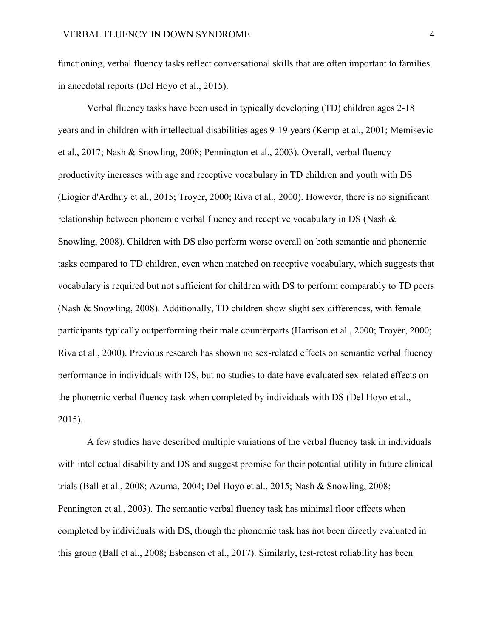functioning, verbal fluency tasks reflect conversational skills that are often important to families in anecdotal reports (Del Hoyo et al., 2015).

Verbal fluency tasks have been used in typically developing (TD) children ages 2-18 years and in children with intellectual disabilities ages 9-19 years (Kemp et al., 2001; Memisevic et al., 2017; Nash & Snowling, 2008; Pennington et al., 2003). Overall, verbal fluency productivity increases with age and receptive vocabulary in TD children and youth with DS (Liogier d'Ardhuy et al., 2015; Troyer, 2000; Riva et al., 2000). However, there is no significant relationship between phonemic verbal fluency and receptive vocabulary in DS (Nash & Snowling, 2008). Children with DS also perform worse overall on both semantic and phonemic tasks compared to TD children, even when matched on receptive vocabulary, which suggests that vocabulary is required but not sufficient for children with DS to perform comparably to TD peers (Nash & Snowling, 2008). Additionally, TD children show slight sex differences, with female participants typically outperforming their male counterparts (Harrison et al., 2000; Troyer, 2000; Riva et al., 2000). Previous research has shown no sex-related effects on semantic verbal fluency performance in individuals with DS, but no studies to date have evaluated sex-related effects on the phonemic verbal fluency task when completed by individuals with DS (Del Hoyo et al., 2015).

A few studies have described multiple variations of the verbal fluency task in individuals with intellectual disability and DS and suggest promise for their potential utility in future clinical trials (Ball et al., 2008; Azuma, 2004; Del Hoyo et al., 2015; Nash & Snowling, 2008; Pennington et al., 2003). The semantic verbal fluency task has minimal floor effects when completed by individuals with DS, though the phonemic task has not been directly evaluated in this group (Ball et al., 2008; Esbensen et al., 2017). Similarly, test-retest reliability has been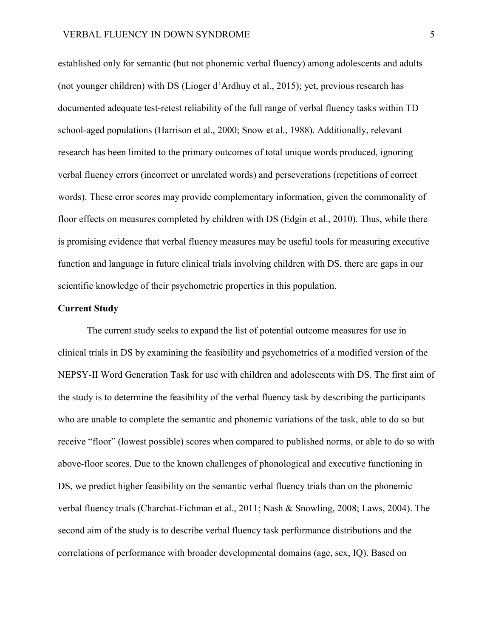established only for semantic (but not phonemic verbal fluency) among adolescents and adults (not younger children) with DS (Lioger d'Ardhuy et al., 2015); yet, previous research has documented adequate test-retest reliability of the full range of verbal fluency tasks within TD school-aged populations (Harrison et al., 2000; Snow et al., 1988). Additionally, relevant research has been limited to the primary outcomes of total unique words produced, ignoring verbal fluency errors (incorrect or unrelated words) and perseverations (repetitions of correct words). These error scores may provide complementary information, given the commonality of floor effects on measures completed by children with DS (Edgin et al., 2010). Thus, while there is promising evidence that verbal fluency measures may be useful tools for measuring executive function and language in future clinical trials involving children with DS, there are gaps in our scientific knowledge of their psychometric properties in this population.

#### **Current Study**

The current study seeks to expand the list of potential outcome measures for use in clinical trials in DS by examining the feasibility and psychometrics of a modified version of the NEPSY-II Word Generation Task for use with children and adolescents with DS. The first aim of the study is to determine the feasibility of the verbal fluency task by describing the participants who are unable to complete the semantic and phonemic variations of the task, able to do so but receive "floor" (lowest possible) scores when compared to published norms, or able to do so with above-floor scores. Due to the known challenges of phonological and executive functioning in DS, we predict higher feasibility on the semantic verbal fluency trials than on the phonemic verbal fluency trials (Charchat-Fichman et al., 2011; Nash & Snowling, 2008; Laws, 2004). The second aim of the study is to describe verbal fluency task performance distributions and the correlations of performance with broader developmental domains (age, sex, IQ). Based on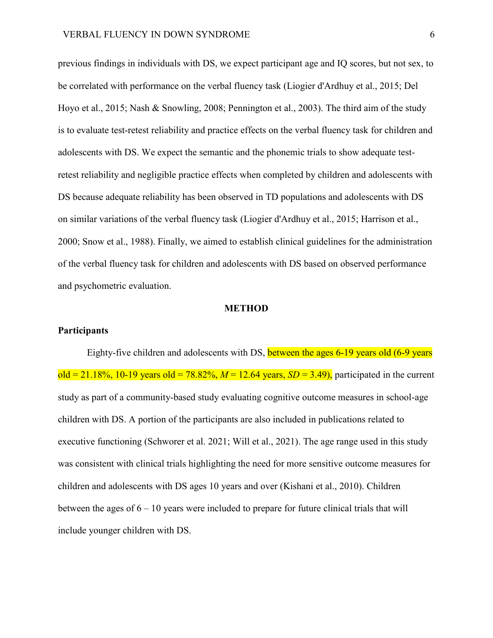previous findings in individuals with DS, we expect participant age and IQ scores, but not sex, to be correlated with performance on the verbal fluency task (Liogier d'Ardhuy et al., 2015; Del Hoyo et al., 2015; Nash & Snowling, 2008; Pennington et al., 2003). The third aim of the study is to evaluate test-retest reliability and practice effects on the verbal fluency task for children and adolescents with DS. We expect the semantic and the phonemic trials to show adequate testretest reliability and negligible practice effects when completed by children and adolescents with DS because adequate reliability has been observed in TD populations and adolescents with DS on similar variations of the verbal fluency task (Liogier d'Ardhuy et al., 2015; Harrison et al., 2000; Snow et al., 1988). Finally, we aimed to establish clinical guidelines for the administration of the verbal fluency task for children and adolescents with DS based on observed performance and psychometric evaluation.

#### **METHOD**

#### **Participants**

Eighty-five children and adolescents with DS, between the ages 6-19 years old (6-9 years  $old = 21.18\%, 10-19$  years  $old = 78.82\%, M = 12.64$  years,  $SD = 3.49$ ), participated in the current study as part of a community-based study evaluating cognitive outcome measures in school-age children with DS. A portion of the participants are also included in publications related to executive functioning (Schworer et al. 2021; Will et al., 2021). The age range used in this study was consistent with clinical trials highlighting the need for more sensitive outcome measures for children and adolescents with DS ages 10 years and over (Kishani et al., 2010). Children between the ages of  $6 - 10$  years were included to prepare for future clinical trials that will include younger children with DS.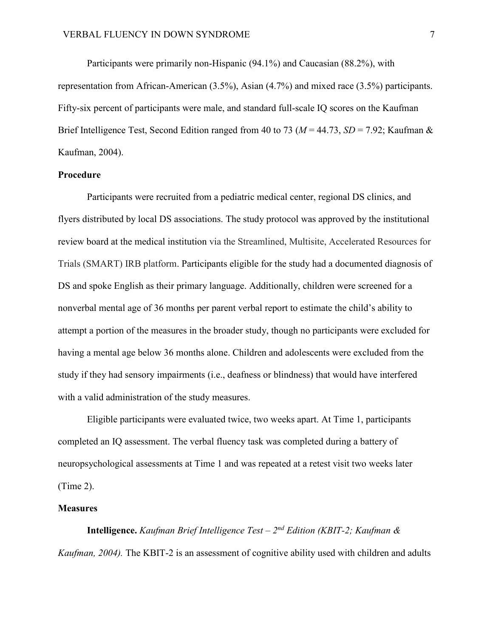Participants were primarily non-Hispanic (94.1%) and Caucasian (88.2%), with representation from African-American (3.5%), Asian (4.7%) and mixed race (3.5%) participants. Fifty-six percent of participants were male, and standard full-scale IQ scores on the Kaufman Brief Intelligence Test, Second Edition ranged from 40 to 73 (*M* = 44.73, *SD* = 7.92; Kaufman & Kaufman, 2004).

## **Procedure**

Participants were recruited from a pediatric medical center, regional DS clinics, and flyers distributed by local DS associations. The study protocol was approved by the institutional review board at the medical institution via the Streamlined, Multisite, Accelerated Resources for Trials (SMART) IRB platform. Participants eligible for the study had a documented diagnosis of DS and spoke English as their primary language. Additionally, children were screened for a nonverbal mental age of 36 months per parent verbal report to estimate the child's ability to attempt a portion of the measures in the broader study, though no participants were excluded for having a mental age below 36 months alone. Children and adolescents were excluded from the study if they had sensory impairments (i.e., deafness or blindness) that would have interfered with a valid administration of the study measures.

Eligible participants were evaluated twice, two weeks apart. At Time 1, participants completed an IQ assessment. The verbal fluency task was completed during a battery of neuropsychological assessments at Time 1 and was repeated at a retest visit two weeks later (Time 2).

#### **Measures**

**Intelligence.** *Kaufman Brief Intelligence Test – 2nd Edition (KBIT-2; Kaufman & Kaufman, 2004).* The KBIT-2 is an assessment of cognitive ability used with children and adults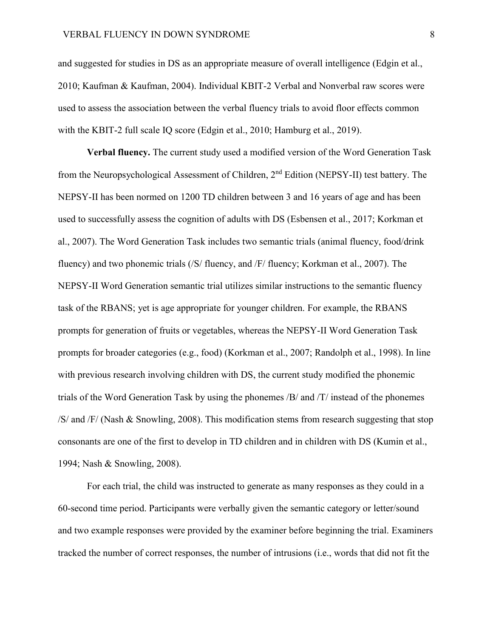and suggested for studies in DS as an appropriate measure of overall intelligence (Edgin et al., 2010; Kaufman & Kaufman, 2004). Individual KBIT-2 Verbal and Nonverbal raw scores were used to assess the association between the verbal fluency trials to avoid floor effects common with the KBIT-2 full scale IQ score (Edgin et al., 2010; Hamburg et al., 2019).

**Verbal fluency.** The current study used a modified version of the Word Generation Task from the Neuropsychological Assessment of Children, 2nd Edition (NEPSY-II) test battery. The NEPSY-II has been normed on 1200 TD children between 3 and 16 years of age and has been used to successfully assess the cognition of adults with DS (Esbensen et al., 2017; Korkman et al., 2007). The Word Generation Task includes two semantic trials (animal fluency, food/drink fluency) and two phonemic trials (/S/ fluency, and /F/ fluency; Korkman et al., 2007). The NEPSY-II Word Generation semantic trial utilizes similar instructions to the semantic fluency task of the RBANS; yet is age appropriate for younger children. For example, the RBANS prompts for generation of fruits or vegetables, whereas the NEPSY-II Word Generation Task prompts for broader categories (e.g., food) (Korkman et al., 2007; Randolph et al., 1998). In line with previous research involving children with DS, the current study modified the phonemic trials of the Word Generation Task by using the phonemes /B/ and /T/ instead of the phonemes /S/ and /F/ (Nash & Snowling, 2008). This modification stems from research suggesting that stop consonants are one of the first to develop in TD children and in children with DS (Kumin et al., 1994; Nash & Snowling, 2008).

For each trial, the child was instructed to generate as many responses as they could in a 60-second time period. Participants were verbally given the semantic category or letter/sound and two example responses were provided by the examiner before beginning the trial. Examiners tracked the number of correct responses, the number of intrusions (i.e., words that did not fit the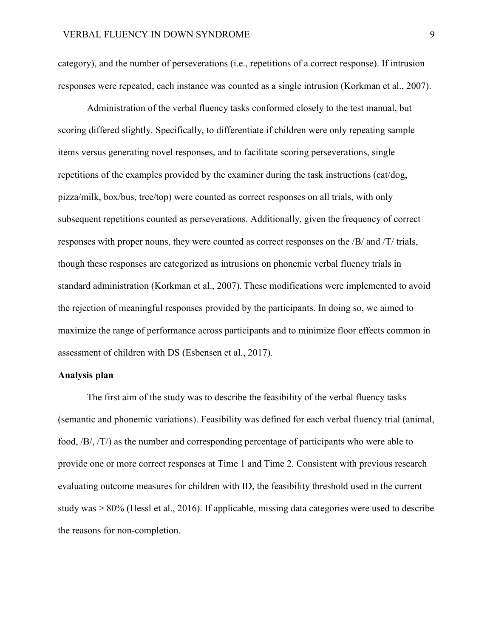category), and the number of perseverations (i.e., repetitions of a correct response). If intrusion responses were repeated, each instance was counted as a single intrusion (Korkman et al., 2007).

Administration of the verbal fluency tasks conformed closely to the test manual, but scoring differed slightly. Specifically, to differentiate if children were only repeating sample items versus generating novel responses, and to facilitate scoring perseverations, single repetitions of the examples provided by the examiner during the task instructions (cat/dog, pizza/milk, box/bus, tree/top) were counted as correct responses on all trials, with only subsequent repetitions counted as perseverations. Additionally, given the frequency of correct responses with proper nouns, they were counted as correct responses on the /B/ and /T/ trials, though these responses are categorized as intrusions on phonemic verbal fluency trials in standard administration (Korkman et al., 2007). These modifications were implemented to avoid the rejection of meaningful responses provided by the participants. In doing so, we aimed to maximize the range of performance across participants and to minimize floor effects common in assessment of children with DS (Esbensen et al., 2017).

## **Analysis plan**

The first aim of the study was to describe the feasibility of the verbal fluency tasks (semantic and phonemic variations). Feasibility was defined for each verbal fluency trial (animal, food, /B/, /T/) as the number and corresponding percentage of participants who were able to provide one or more correct responses at Time 1 and Time 2. Consistent with previous research evaluating outcome measures for children with ID, the feasibility threshold used in the current study was > 80% (Hessl et al., 2016). If applicable, missing data categories were used to describe the reasons for non-completion.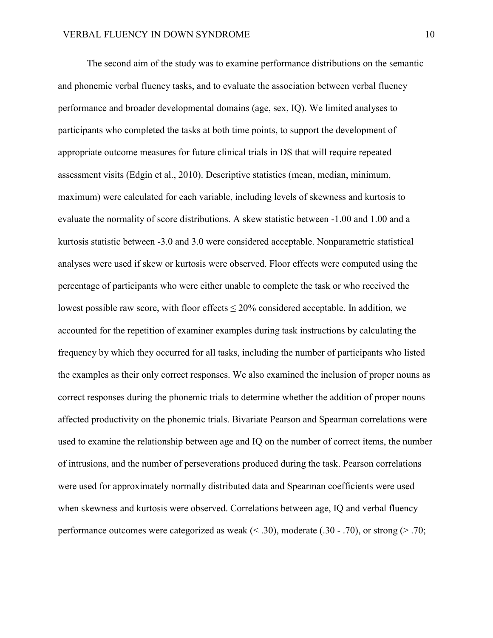The second aim of the study was to examine performance distributions on the semantic and phonemic verbal fluency tasks, and to evaluate the association between verbal fluency performance and broader developmental domains (age, sex, IQ). We limited analyses to participants who completed the tasks at both time points, to support the development of appropriate outcome measures for future clinical trials in DS that will require repeated assessment visits (Edgin et al., 2010). Descriptive statistics (mean, median, minimum, maximum) were calculated for each variable, including levels of skewness and kurtosis to evaluate the normality of score distributions. A skew statistic between -1.00 and 1.00 and a kurtosis statistic between -3.0 and 3.0 were considered acceptable. Nonparametric statistical analyses were used if skew or kurtosis were observed. Floor effects were computed using the percentage of participants who were either unable to complete the task or who received the lowest possible raw score, with floor effects  $\leq 20\%$  considered acceptable. In addition, we accounted for the repetition of examiner examples during task instructions by calculating the frequency by which they occurred for all tasks, including the number of participants who listed the examples as their only correct responses. We also examined the inclusion of proper nouns as correct responses during the phonemic trials to determine whether the addition of proper nouns affected productivity on the phonemic trials. Bivariate Pearson and Spearman correlations were used to examine the relationship between age and IQ on the number of correct items, the number of intrusions, and the number of perseverations produced during the task. Pearson correlations were used for approximately normally distributed data and Spearman coefficients were used when skewness and kurtosis were observed. Correlations between age, IQ and verbal fluency performance outcomes were categorized as weak  $(< .30)$ , moderate  $(.30 - .70)$ , or strong  $(> .70)$ ;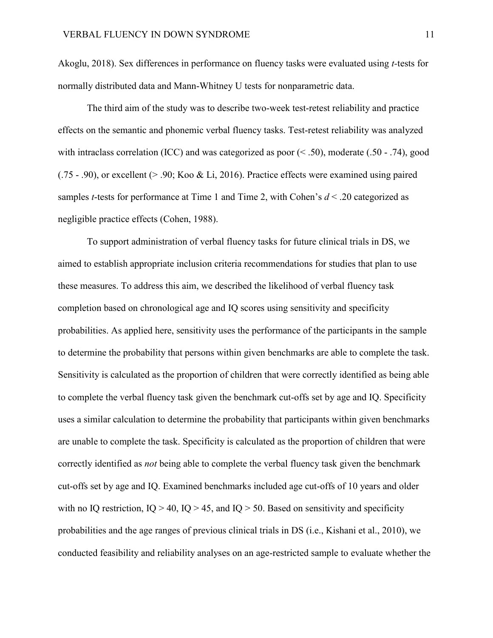Akoglu, 2018). Sex differences in performance on fluency tasks were evaluated using *t-*tests for normally distributed data and Mann-Whitney U tests for nonparametric data.

The third aim of the study was to describe two-week test-retest reliability and practice effects on the semantic and phonemic verbal fluency tasks. Test-retest reliability was analyzed with intraclass correlation (ICC) and was categorized as poor (< .50), moderate (.50 - .74), good  $(0.75 - 0.90)$ , or excellent ( $> 0.90$ ; Koo & Li, 2016). Practice effects were examined using paired samples *t*-tests for performance at Time 1 and Time 2, with Cohen's  $d < .20$  categorized as negligible practice effects (Cohen, 1988).

To support administration of verbal fluency tasks for future clinical trials in DS, we aimed to establish appropriate inclusion criteria recommendations for studies that plan to use these measures. To address this aim, we described the likelihood of verbal fluency task completion based on chronological age and IQ scores using sensitivity and specificity probabilities. As applied here, sensitivity uses the performance of the participants in the sample to determine the probability that persons within given benchmarks are able to complete the task. Sensitivity is calculated as the proportion of children that were correctly identified as being able to complete the verbal fluency task given the benchmark cut-offs set by age and IQ. Specificity uses a similar calculation to determine the probability that participants within given benchmarks are unable to complete the task. Specificity is calculated as the proportion of children that were correctly identified as *not* being able to complete the verbal fluency task given the benchmark cut-offs set by age and IQ. Examined benchmarks included age cut-offs of 10 years and older with no IQ restriction,  $IQ > 40$ ,  $IQ > 45$ , and  $IQ > 50$ . Based on sensitivity and specificity probabilities and the age ranges of previous clinical trials in DS (i.e., Kishani et al., 2010), we conducted feasibility and reliability analyses on an age-restricted sample to evaluate whether the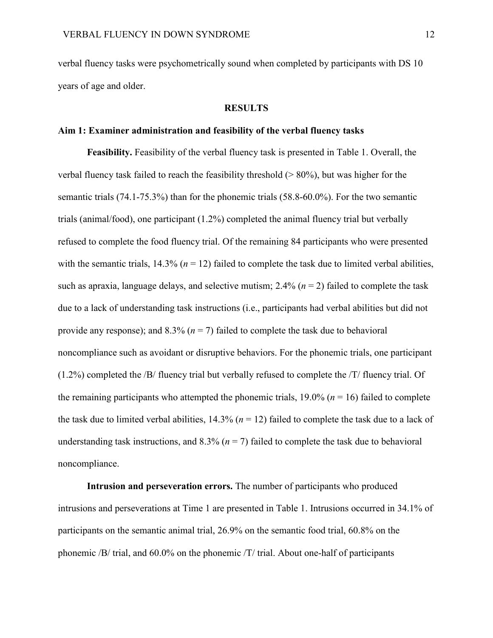verbal fluency tasks were psychometrically sound when completed by participants with DS 10 years of age and older.

# **RESULTS**

#### **Aim 1: Examiner administration and feasibility of the verbal fluency tasks**

**Feasibility.** Feasibility of the verbal fluency task is presented in Table 1. Overall, the verbal fluency task failed to reach the feasibility threshold (> 80%), but was higher for the semantic trials (74.1-75.3%) than for the phonemic trials (58.8-60.0%). For the two semantic trials (animal/food), one participant (1.2%) completed the animal fluency trial but verbally refused to complete the food fluency trial. Of the remaining 84 participants who were presented with the semantic trials,  $14.3\%$  ( $n = 12$ ) failed to complete the task due to limited verbal abilities, such as apraxia, language delays, and selective mutism;  $2.4\%$  ( $n = 2$ ) failed to complete the task due to a lack of understanding task instructions (i.e., participants had verbal abilities but did not provide any response); and 8.3% ( $n = 7$ ) failed to complete the task due to behavioral noncompliance such as avoidant or disruptive behaviors. For the phonemic trials, one participant (1.2%) completed the /B/ fluency trial but verbally refused to complete the /T/ fluency trial. Of the remaining participants who attempted the phonemic trials,  $19.0\%$  ( $n = 16$ ) failed to complete the task due to limited verbal abilities,  $14.3\%$  ( $n = 12$ ) failed to complete the task due to a lack of understanding task instructions, and  $8.3\%$  ( $n = 7$ ) failed to complete the task due to behavioral noncompliance.

**Intrusion and perseveration errors.** The number of participants who produced intrusions and perseverations at Time 1 are presented in Table 1. Intrusions occurred in 34.1% of participants on the semantic animal trial, 26.9% on the semantic food trial, 60.8% on the phonemic /B/ trial, and 60.0% on the phonemic /T/ trial. About one-half of participants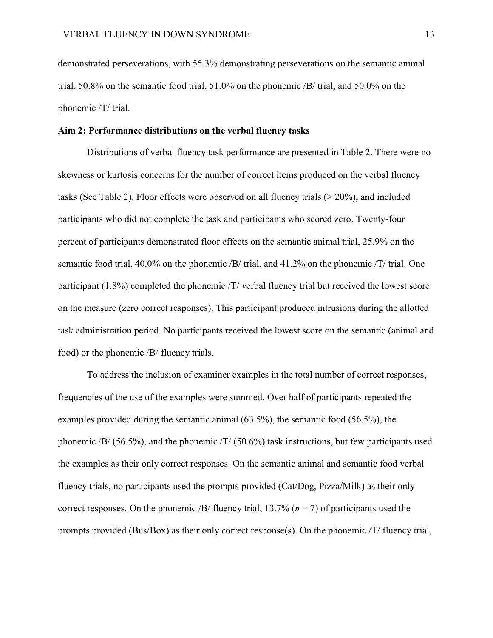demonstrated perseverations, with 55.3% demonstrating perseverations on the semantic animal trial, 50.8% on the semantic food trial, 51.0% on the phonemic /B/ trial, and 50.0% on the phonemic /T/ trial.

#### **Aim 2: Performance distributions on the verbal fluency tasks**

Distributions of verbal fluency task performance are presented in Table 2. There were no skewness or kurtosis concerns for the number of correct items produced on the verbal fluency tasks (See Table 2). Floor effects were observed on all fluency trials (> 20%), and included participants who did not complete the task and participants who scored zero. Twenty-four percent of participants demonstrated floor effects on the semantic animal trial, 25.9% on the semantic food trial, 40.0% on the phonemic /B/ trial, and 41.2% on the phonemic /T/ trial. One participant (1.8%) completed the phonemic /T/ verbal fluency trial but received the lowest score on the measure (zero correct responses). This participant produced intrusions during the allotted task administration period. No participants received the lowest score on the semantic (animal and food) or the phonemic /B/ fluency trials.

To address the inclusion of examiner examples in the total number of correct responses, frequencies of the use of the examples were summed. Over half of participants repeated the examples provided during the semantic animal (63.5%), the semantic food (56.5%), the phonemic /B/ (56.5%), and the phonemic /T/ (50.6%) task instructions, but few participants used the examples as their only correct responses. On the semantic animal and semantic food verbal fluency trials, no participants used the prompts provided (Cat/Dog, Pizza/Milk) as their only correct responses. On the phonemic /B/ fluency trial, 13.7% (*n* = 7) of participants used the prompts provided (Bus/Box) as their only correct response(s). On the phonemic /T/ fluency trial,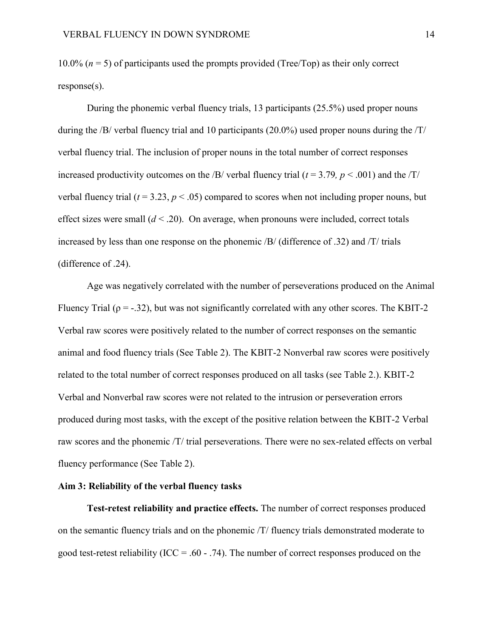10.0%  $(n = 5)$  of participants used the prompts provided (Tree/Top) as their only correct response(s).

During the phonemic verbal fluency trials, 13 participants (25.5%) used proper nouns during the /B/ verbal fluency trial and 10 participants (20.0%) used proper nouns during the /T/ verbal fluency trial. The inclusion of proper nouns in the total number of correct responses increased productivity outcomes on the /B/ verbal fluency trial ( $t = 3.79$ ,  $p < .001$ ) and the /T/ verbal fluency trial ( $t = 3.23$ ,  $p < .05$ ) compared to scores when not including proper nouns, but effect sizes were small  $(d < .20)$ . On average, when pronouns were included, correct totals increased by less than one response on the phonemic /B/ (difference of .32) and /T/ trials (difference of .24).

Age was negatively correlated with the number of perseverations produced on the Animal Fluency Trial ( $\rho = -32$ ), but was not significantly correlated with any other scores. The KBIT-2 Verbal raw scores were positively related to the number of correct responses on the semantic animal and food fluency trials (See Table 2). The KBIT-2 Nonverbal raw scores were positively related to the total number of correct responses produced on all tasks (see Table 2.). KBIT-2 Verbal and Nonverbal raw scores were not related to the intrusion or perseveration errors produced during most tasks, with the except of the positive relation between the KBIT-2 Verbal raw scores and the phonemic /T/ trial perseverations. There were no sex-related effects on verbal fluency performance (See Table 2).

## **Aim 3: Reliability of the verbal fluency tasks**

**Test-retest reliability and practice effects.** The number of correct responses produced on the semantic fluency trials and on the phonemic /T/ fluency trials demonstrated moderate to good test-retest reliability ( $ICC = .60 - .74$ ). The number of correct responses produced on the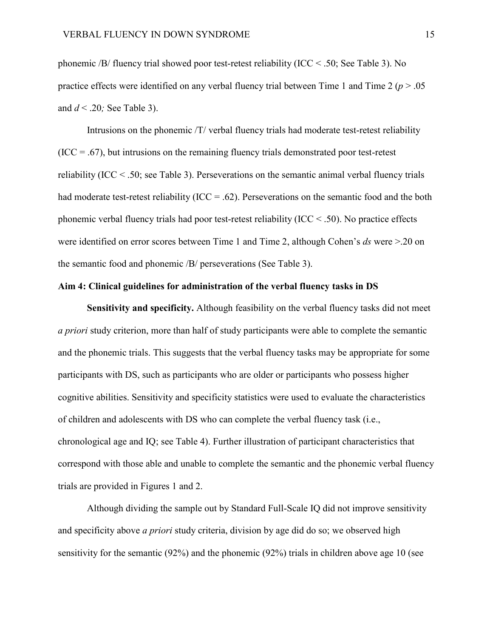phonemic /B/ fluency trial showed poor test-retest reliability (ICC  $\leq$  .50; See Table 3). No practice effects were identified on any verbal fluency trial between Time 1 and Time 2 ( $p > .05$ ) and *d* < .20*;* See Table 3).

Intrusions on the phonemic /T/ verbal fluency trials had moderate test-retest reliability  $(ICC = .67)$ , but intrusions on the remaining fluency trials demonstrated poor test-retest reliability (ICC < .50; see Table 3). Perseverations on the semantic animal verbal fluency trials had moderate test-retest reliability (ICC = .62). Perseverations on the semantic food and the both phonemic verbal fluency trials had poor test-retest reliability ( $\text{ICC} < .50$ ). No practice effects were identified on error scores between Time 1 and Time 2, although Cohen's *ds* were >.20 on the semantic food and phonemic /B/ perseverations (See Table 3).

## **Aim 4: Clinical guidelines for administration of the verbal fluency tasks in DS**

**Sensitivity and specificity.** Although feasibility on the verbal fluency tasks did not meet *a priori* study criterion, more than half of study participants were able to complete the semantic and the phonemic trials. This suggests that the verbal fluency tasks may be appropriate for some participants with DS, such as participants who are older or participants who possess higher cognitive abilities. Sensitivity and specificity statistics were used to evaluate the characteristics of children and adolescents with DS who can complete the verbal fluency task (i.e., chronological age and IQ; see Table 4). Further illustration of participant characteristics that correspond with those able and unable to complete the semantic and the phonemic verbal fluency trials are provided in Figures 1 and 2.

Although dividing the sample out by Standard Full-Scale IQ did not improve sensitivity and specificity above *a priori* study criteria, division by age did do so; we observed high sensitivity for the semantic (92%) and the phonemic (92%) trials in children above age 10 (see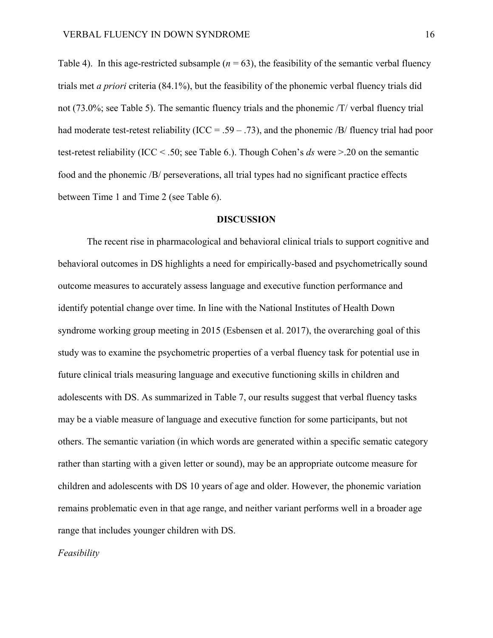Table 4). In this age-restricted subsample  $(n = 63)$ , the feasibility of the semantic verbal fluency trials met *a priori* criteria (84.1%), but the feasibility of the phonemic verbal fluency trials did not (73.0%; see Table 5). The semantic fluency trials and the phonemic /T/ verbal fluency trial had moderate test-retest reliability (ICC = .59 – .73), and the phonemic /B/ fluency trial had poor test-retest reliability (ICC < .50; see Table 6.). Though Cohen's *ds* were >.20 on the semantic food and the phonemic /B/ perseverations, all trial types had no significant practice effects between Time 1 and Time 2 (see Table 6).

#### **DISCUSSION**

The recent rise in pharmacological and behavioral clinical trials to support cognitive and behavioral outcomes in DS highlights a need for empirically-based and psychometrically sound outcome measures to accurately assess language and executive function performance and identify potential change over time. In line with the National Institutes of Health Down syndrome working group meeting in 2015 (Esbensen et al. 2017), the overarching goal of this study was to examine the psychometric properties of a verbal fluency task for potential use in future clinical trials measuring language and executive functioning skills in children and adolescents with DS. As summarized in Table 7, our results suggest that verbal fluency tasks may be a viable measure of language and executive function for some participants, but not others. The semantic variation (in which words are generated within a specific sematic category rather than starting with a given letter or sound), may be an appropriate outcome measure for children and adolescents with DS 10 years of age and older. However, the phonemic variation remains problematic even in that age range, and neither variant performs well in a broader age range that includes younger children with DS.

*Feasibility*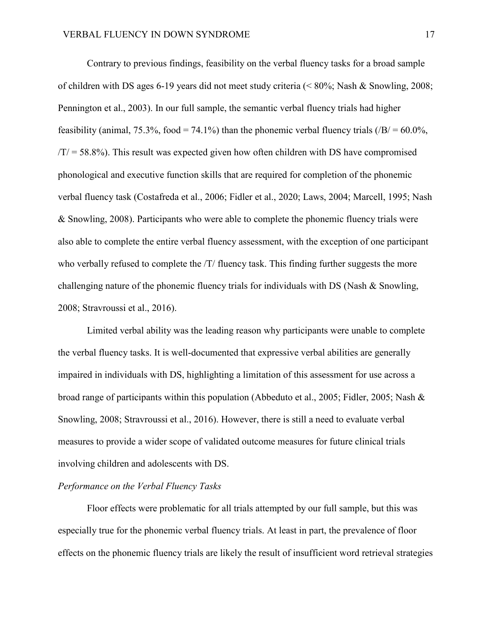Contrary to previous findings, feasibility on the verbal fluency tasks for a broad sample of children with DS ages 6-19 years did not meet study criteria (< 80%; Nash & Snowling, 2008; Pennington et al., 2003). In our full sample, the semantic verbal fluency trials had higher feasibility (animal, 75.3%, food = 74.1%) than the phonemic verbal fluency trials  $\langle B| = 60.0\%$ ,  $/T = 58.8\%$ ). This result was expected given how often children with DS have compromised phonological and executive function skills that are required for completion of the phonemic verbal fluency task (Costafreda et al., 2006; Fidler et al., 2020; Laws, 2004; Marcell, 1995; Nash & Snowling, 2008). Participants who were able to complete the phonemic fluency trials were also able to complete the entire verbal fluency assessment, with the exception of one participant who verbally refused to complete the  $/T/$  fluency task. This finding further suggests the more challenging nature of the phonemic fluency trials for individuals with DS (Nash & Snowling, 2008; Stravroussi et al., 2016).

Limited verbal ability was the leading reason why participants were unable to complete the verbal fluency tasks. It is well-documented that expressive verbal abilities are generally impaired in individuals with DS, highlighting a limitation of this assessment for use across a broad range of participants within this population (Abbeduto et al., 2005; Fidler, 2005; Nash & Snowling, 2008; Stravroussi et al., 2016). However, there is still a need to evaluate verbal measures to provide a wider scope of validated outcome measures for future clinical trials involving children and adolescents with DS.

## *Performance on the Verbal Fluency Tasks*

Floor effects were problematic for all trials attempted by our full sample, but this was especially true for the phonemic verbal fluency trials. At least in part, the prevalence of floor effects on the phonemic fluency trials are likely the result of insufficient word retrieval strategies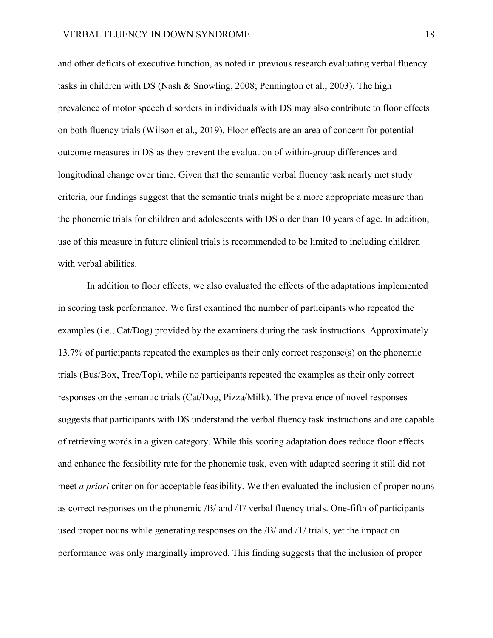and other deficits of executive function, as noted in previous research evaluating verbal fluency tasks in children with DS (Nash & Snowling, 2008; Pennington et al., 2003). The high prevalence of motor speech disorders in individuals with DS may also contribute to floor effects on both fluency trials (Wilson et al., 2019). Floor effects are an area of concern for potential outcome measures in DS as they prevent the evaluation of within-group differences and longitudinal change over time. Given that the semantic verbal fluency task nearly met study criteria, our findings suggest that the semantic trials might be a more appropriate measure than the phonemic trials for children and adolescents with DS older than 10 years of age. In addition, use of this measure in future clinical trials is recommended to be limited to including children with verbal abilities.

In addition to floor effects, we also evaluated the effects of the adaptations implemented in scoring task performance. We first examined the number of participants who repeated the examples (i.e., Cat/Dog) provided by the examiners during the task instructions. Approximately 13.7% of participants repeated the examples as their only correct response(s) on the phonemic trials (Bus/Box, Tree/Top), while no participants repeated the examples as their only correct responses on the semantic trials (Cat/Dog, Pizza/Milk). The prevalence of novel responses suggests that participants with DS understand the verbal fluency task instructions and are capable of retrieving words in a given category. While this scoring adaptation does reduce floor effects and enhance the feasibility rate for the phonemic task, even with adapted scoring it still did not meet *a priori* criterion for acceptable feasibility. We then evaluated the inclusion of proper nouns as correct responses on the phonemic /B/ and /T/ verbal fluency trials. One-fifth of participants used proper nouns while generating responses on the /B/ and /T/ trials, yet the impact on performance was only marginally improved. This finding suggests that the inclusion of proper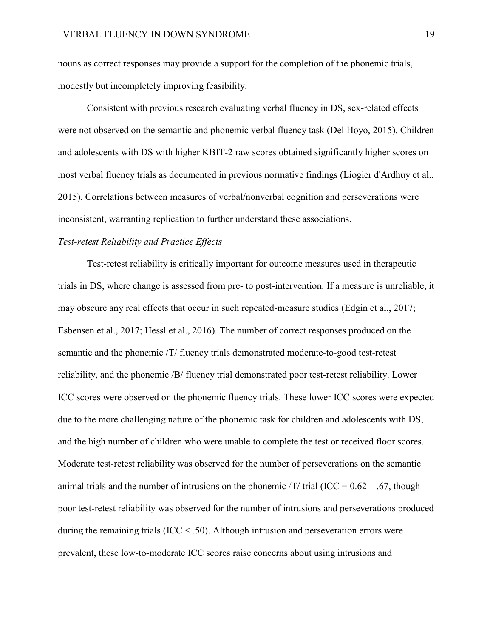nouns as correct responses may provide a support for the completion of the phonemic trials, modestly but incompletely improving feasibility.

Consistent with previous research evaluating verbal fluency in DS, sex-related effects were not observed on the semantic and phonemic verbal fluency task (Del Hoyo, 2015). Children and adolescents with DS with higher KBIT-2 raw scores obtained significantly higher scores on most verbal fluency trials as documented in previous normative findings (Liogier d'Ardhuy et al., 2015). Correlations between measures of verbal/nonverbal cognition and perseverations were inconsistent, warranting replication to further understand these associations.

# *Test-retest Reliability and Practice Effects*

Test-retest reliability is critically important for outcome measures used in therapeutic trials in DS, where change is assessed from pre- to post-intervention. If a measure is unreliable, it may obscure any real effects that occur in such repeated-measure studies (Edgin et al., 2017; Esbensen et al., 2017; Hessl et al., 2016). The number of correct responses produced on the semantic and the phonemic /T/ fluency trials demonstrated moderate-to-good test-retest reliability, and the phonemic /B/ fluency trial demonstrated poor test-retest reliability. Lower ICC scores were observed on the phonemic fluency trials. These lower ICC scores were expected due to the more challenging nature of the phonemic task for children and adolescents with DS, and the high number of children who were unable to complete the test or received floor scores. Moderate test-retest reliability was observed for the number of perseverations on the semantic animal trials and the number of intrusions on the phonemic  $\text{/T/}$  trial (ICC = 0.62 – .67, though poor test-retest reliability was observed for the number of intrusions and perseverations produced during the remaining trials ( $\text{ICC} < .50$ ). Although intrusion and perseveration errors were prevalent, these low-to-moderate ICC scores raise concerns about using intrusions and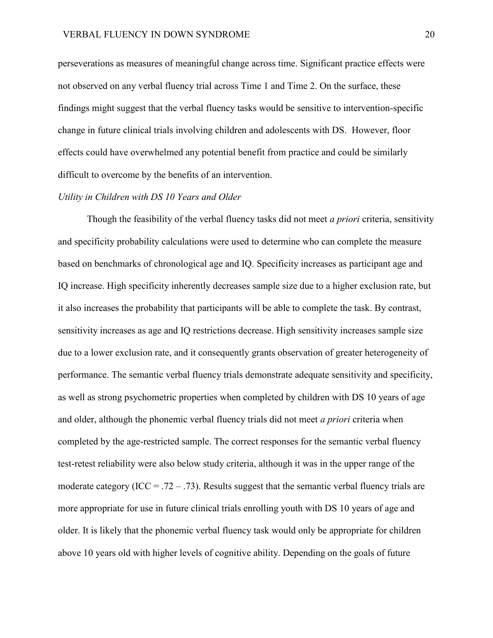perseverations as measures of meaningful change across time. Significant practice effects were not observed on any verbal fluency trial across Time 1 and Time 2. On the surface, these findings might suggest that the verbal fluency tasks would be sensitive to intervention-specific change in future clinical trials involving children and adolescents with DS. However, floor effects could have overwhelmed any potential benefit from practice and could be similarly difficult to overcome by the benefits of an intervention.

#### *Utility in Children with DS 10 Years and Older*

Though the feasibility of the verbal fluency tasks did not meet *a priori* criteria, sensitivity and specificity probability calculations were used to determine who can complete the measure based on benchmarks of chronological age and IQ. Specificity increases as participant age and IQ increase. High specificity inherently decreases sample size due to a higher exclusion rate, but it also increases the probability that participants will be able to complete the task. By contrast, sensitivity increases as age and IQ restrictions decrease. High sensitivity increases sample size due to a lower exclusion rate, and it consequently grants observation of greater heterogeneity of performance. The semantic verbal fluency trials demonstrate adequate sensitivity and specificity, as well as strong psychometric properties when completed by children with DS 10 years of age and older, although the phonemic verbal fluency trials did not meet *a priori* criteria when completed by the age-restricted sample. The correct responses for the semantic verbal fluency test-retest reliability were also below study criteria, although it was in the upper range of the moderate category (ICC = .72 – .73). Results suggest that the semantic verbal fluency trials are more appropriate for use in future clinical trials enrolling youth with DS 10 years of age and older. It is likely that the phonemic verbal fluency task would only be appropriate for children above 10 years old with higher levels of cognitive ability. Depending on the goals of future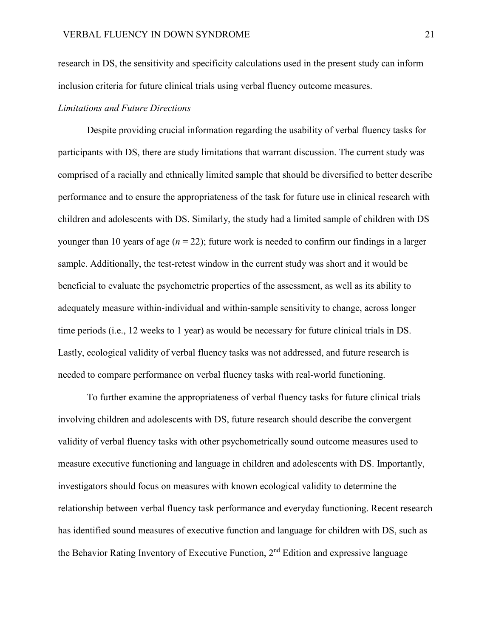research in DS, the sensitivity and specificity calculations used in the present study can inform inclusion criteria for future clinical trials using verbal fluency outcome measures.

# *Limitations and Future Directions*

Despite providing crucial information regarding the usability of verbal fluency tasks for participants with DS, there are study limitations that warrant discussion. The current study was comprised of a racially and ethnically limited sample that should be diversified to better describe performance and to ensure the appropriateness of the task for future use in clinical research with children and adolescents with DS. Similarly, the study had a limited sample of children with DS younger than 10 years of age  $(n = 22)$ ; future work is needed to confirm our findings in a larger sample. Additionally, the test-retest window in the current study was short and it would be beneficial to evaluate the psychometric properties of the assessment, as well as its ability to adequately measure within-individual and within-sample sensitivity to change, across longer time periods (i.e., 12 weeks to 1 year) as would be necessary for future clinical trials in DS. Lastly, ecological validity of verbal fluency tasks was not addressed, and future research is needed to compare performance on verbal fluency tasks with real-world functioning.

To further examine the appropriateness of verbal fluency tasks for future clinical trials involving children and adolescents with DS, future research should describe the convergent validity of verbal fluency tasks with other psychometrically sound outcome measures used to measure executive functioning and language in children and adolescents with DS. Importantly, investigators should focus on measures with known ecological validity to determine the relationship between verbal fluency task performance and everyday functioning. Recent research has identified sound measures of executive function and language for children with DS, such as the Behavior Rating Inventory of Executive Function,  $2<sup>nd</sup>$  Edition and expressive language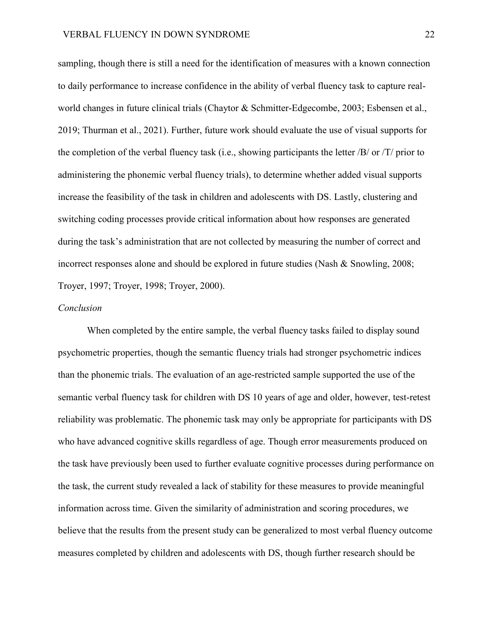sampling, though there is still a need for the identification of measures with a known connection to daily performance to increase confidence in the ability of verbal fluency task to capture realworld changes in future clinical trials (Chaytor & Schmitter-Edgecombe, 2003; Esbensen et al., 2019; Thurman et al., 2021). Further, future work should evaluate the use of visual supports for the completion of the verbal fluency task (i.e., showing participants the letter /B/ or /T/ prior to administering the phonemic verbal fluency trials), to determine whether added visual supports increase the feasibility of the task in children and adolescents with DS. Lastly, clustering and switching coding processes provide critical information about how responses are generated during the task's administration that are not collected by measuring the number of correct and incorrect responses alone and should be explored in future studies (Nash & Snowling, 2008; Troyer, 1997; Troyer, 1998; Troyer, 2000).

#### *Conclusion*

When completed by the entire sample, the verbal fluency tasks failed to display sound psychometric properties, though the semantic fluency trials had stronger psychometric indices than the phonemic trials. The evaluation of an age-restricted sample supported the use of the semantic verbal fluency task for children with DS 10 years of age and older, however, test-retest reliability was problematic. The phonemic task may only be appropriate for participants with DS who have advanced cognitive skills regardless of age. Though error measurements produced on the task have previously been used to further evaluate cognitive processes during performance on the task, the current study revealed a lack of stability for these measures to provide meaningful information across time. Given the similarity of administration and scoring procedures, we believe that the results from the present study can be generalized to most verbal fluency outcome measures completed by children and adolescents with DS, though further research should be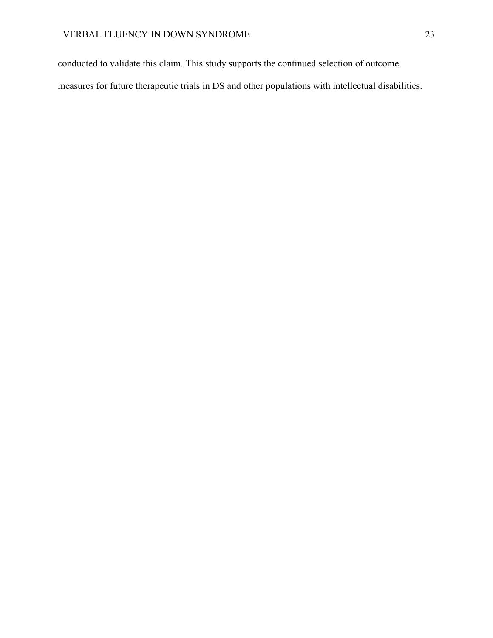conducted to validate this claim. This study supports the continued selection of outcome measures for future therapeutic trials in DS and other populations with intellectual disabilities.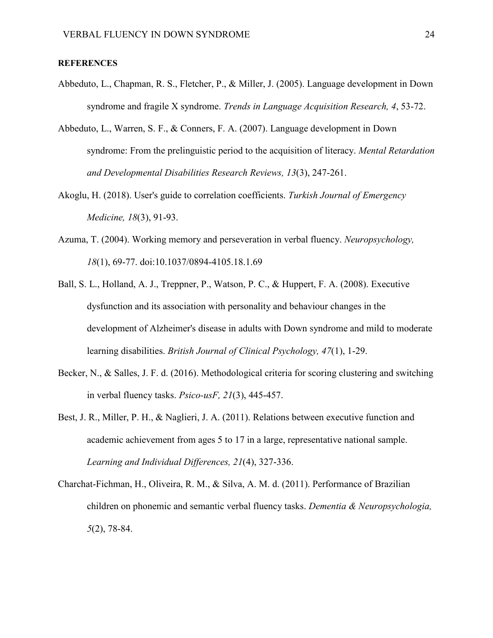## **REFERENCES**

- Abbeduto, L., Chapman, R. S., Fletcher, P., & Miller, J. (2005). Language development in Down syndrome and fragile X syndrome. *Trends in Language Acquisition Research, 4*, 53-72.
- Abbeduto, L., Warren, S. F., & Conners, F. A. (2007). Language development in Down syndrome: From the prelinguistic period to the acquisition of literacy. *Mental Retardation and Developmental Disabilities Research Reviews, 13*(3), 247-261.
- Akoglu, H. (2018). User's guide to correlation coefficients. *Turkish Journal of Emergency Medicine, 18*(3), 91-93.
- Azuma, T. (2004). Working memory and perseveration in verbal fluency. *Neuropsychology, 18*(1), 69-77. doi:10.1037/0894-4105.18.1.69
- Ball, S. L., Holland, A. J., Treppner, P., Watson, P. C., & Huppert, F. A. (2008). Executive dysfunction and its association with personality and behaviour changes in the development of Alzheimer's disease in adults with Down syndrome and mild to moderate learning disabilities. *British Journal of Clinical Psychology, 47*(1), 1-29.
- Becker, N., & Salles, J. F. d. (2016). Methodological criteria for scoring clustering and switching in verbal fluency tasks. *Psico-usF, 21*(3), 445-457.
- Best, J. R., Miller, P. H., & Naglieri, J. A. (2011). Relations between executive function and academic achievement from ages 5 to 17 in a large, representative national sample. *Learning and Individual Differences, 21*(4), 327-336.
- Charchat-Fichman, H., Oliveira, R. M., & Silva, A. M. d. (2011). Performance of Brazilian children on phonemic and semantic verbal fluency tasks. *Dementia & Neuropsychologia, 5*(2), 78-84.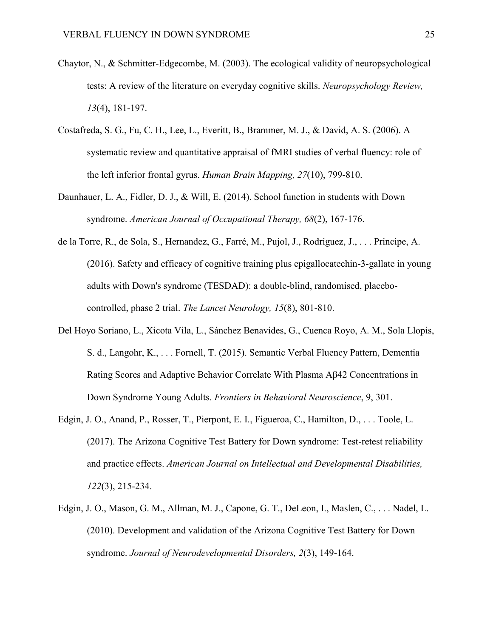- Chaytor, N., & Schmitter-Edgecombe, M. (2003). The ecological validity of neuropsychological tests: A review of the literature on everyday cognitive skills. *Neuropsychology Review, 13*(4), 181-197.
- Costafreda, S. G., Fu, C. H., Lee, L., Everitt, B., Brammer, M. J., & David, A. S. (2006). A systematic review and quantitative appraisal of fMRI studies of verbal fluency: role of the left inferior frontal gyrus. *Human Brain Mapping, 27*(10), 799-810.
- Daunhauer, L. A., Fidler, D. J., & Will, E. (2014). School function in students with Down syndrome. *American Journal of Occupational Therapy, 68*(2), 167-176.
- de la Torre, R., de Sola, S., Hernandez, G., Farré, M., Pujol, J., Rodriguez, J., . . . Principe, A. (2016). Safety and efficacy of cognitive training plus epigallocatechin-3-gallate in young adults with Down's syndrome (TESDAD): a double-blind, randomised, placebocontrolled, phase 2 trial. *The Lancet Neurology, 15*(8), 801-810.
- Del Hoyo Soriano, L., Xicota Vila, L., Sánchez Benavides, G., Cuenca Royo, A. M., Sola Llopis, S. d., Langohr, K., . . . Fornell, T. (2015). Semantic Verbal Fluency Pattern, Dementia Rating Scores and Adaptive Behavior Correlate With Plasma Aβ42 Concentrations in Down Syndrome Young Adults. *Frontiers in Behavioral Neuroscience*, 9, 301.
- Edgin, J. O., Anand, P., Rosser, T., Pierpont, E. I., Figueroa, C., Hamilton, D., . . . Toole, L. (2017). The Arizona Cognitive Test Battery for Down syndrome: Test-retest reliability and practice effects. *American Journal on Intellectual and Developmental Disabilities, 122*(3), 215-234.
- Edgin, J. O., Mason, G. M., Allman, M. J., Capone, G. T., DeLeon, I., Maslen, C., . . . Nadel, L. (2010). Development and validation of the Arizona Cognitive Test Battery for Down syndrome. *Journal of Neurodevelopmental Disorders, 2*(3), 149-164.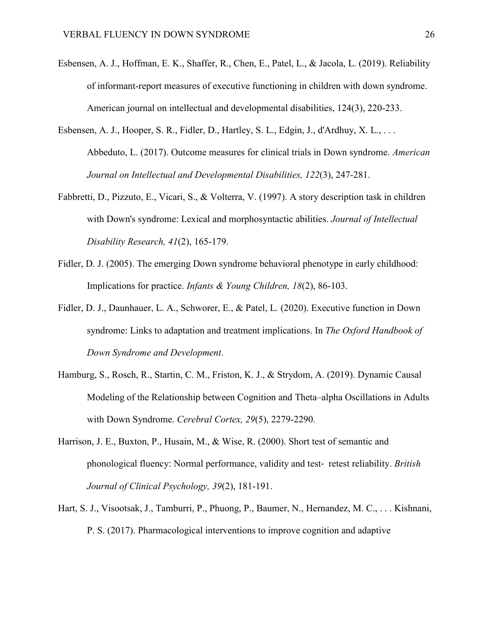- Esbensen, A. J., Hoffman, E. K., Shaffer, R., Chen, E., Patel, L., & Jacola, L. (2019). Reliability of informant-report measures of executive functioning in children with down syndrome. American journal on intellectual and developmental disabilities, 124(3), 220-233.
- Esbensen, A. J., Hooper, S. R., Fidler, D., Hartley, S. L., Edgin, J., d'Ardhuy, X. L., . . . Abbeduto, L. (2017). Outcome measures for clinical trials in Down syndrome. *American Journal on Intellectual and Developmental Disabilities, 122*(3), 247-281.
- Fabbretti, D., Pizzuto, E., Vicari, S., & Volterra, V. (1997). A story description task in children with Down's syndrome: Lexical and morphosyntactic abilities. *Journal of Intellectual Disability Research, 41*(2), 165-179.
- Fidler, D. J. (2005). The emerging Down syndrome behavioral phenotype in early childhood: Implications for practice. *Infants & Young Children, 18*(2), 86-103.
- Fidler, D. J., Daunhauer, L. A., Schworer, E., & Patel, L. (2020). Executive function in Down syndrome: Links to adaptation and treatment implications. In *The Oxford Handbook of Down Syndrome and Development*.
- Hamburg, S., Rosch, R., Startin, C. M., Friston, K. J., & Strydom, A. (2019). Dynamic Causal Modeling of the Relationship between Cognition and Theta–alpha Oscillations in Adults with Down Syndrome. *Cerebral Cortex, 29*(5), 2279-2290.
- Harrison, J. E., Buxton, P., Husain, M., & Wise, R. (2000). Short test of semantic and phonological fluency: Normal performance, validity and test‐ retest reliability. *British Journal of Clinical Psychology, 39*(2), 181-191.
- Hart, S. J., Visootsak, J., Tamburri, P., Phuong, P., Baumer, N., Hernandez, M. C., . . . Kishnani, P. S. (2017). Pharmacological interventions to improve cognition and adaptive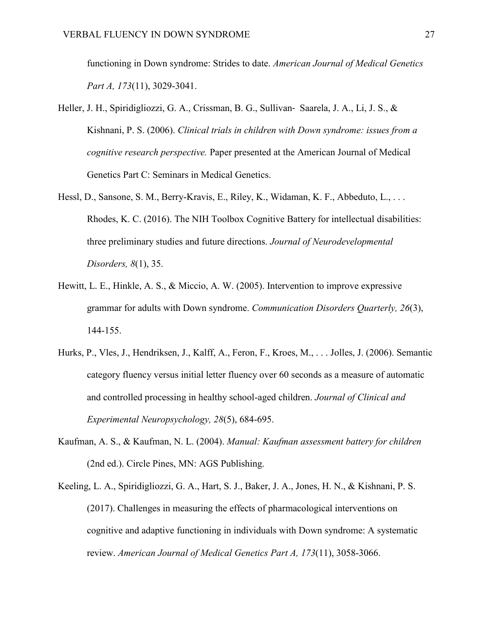functioning in Down syndrome: Strides to date. *American Journal of Medical Genetics Part A, 173*(11), 3029-3041.

- Heller, J. H., Spiridigliozzi, G. A., Crissman, B. G., Sullivan‐ Saarela, J. A., Li, J. S., & Kishnani, P. S. (2006). *Clinical trials in children with Down syndrome: issues from a cognitive research perspective.* Paper presented at the American Journal of Medical Genetics Part C: Seminars in Medical Genetics.
- Hessl, D., Sansone, S. M., Berry-Kravis, E., Riley, K., Widaman, K. F., Abbeduto, L., . . . Rhodes, K. C. (2016). The NIH Toolbox Cognitive Battery for intellectual disabilities: three preliminary studies and future directions. *Journal of Neurodevelopmental Disorders, 8*(1), 35.
- Hewitt, L. E., Hinkle, A. S., & Miccio, A. W. (2005). Intervention to improve expressive grammar for adults with Down syndrome. *Communication Disorders Quarterly, 26*(3), 144-155.
- Hurks, P., Vles, J., Hendriksen, J., Kalff, A., Feron, F., Kroes, M., . . . Jolles, J. (2006). Semantic category fluency versus initial letter fluency over 60 seconds as a measure of automatic and controlled processing in healthy school-aged children. *Journal of Clinical and Experimental Neuropsychology, 28*(5), 684-695.
- Kaufman, A. S., & Kaufman, N. L. (2004). *Manual: Kaufman assessment battery for children* (2nd ed.). Circle Pines, MN: AGS Publishing.
- Keeling, L. A., Spiridigliozzi, G. A., Hart, S. J., Baker, J. A., Jones, H. N., & Kishnani, P. S. (2017). Challenges in measuring the effects of pharmacological interventions on cognitive and adaptive functioning in individuals with Down syndrome: A systematic review. *American Journal of Medical Genetics Part A, 173*(11), 3058-3066.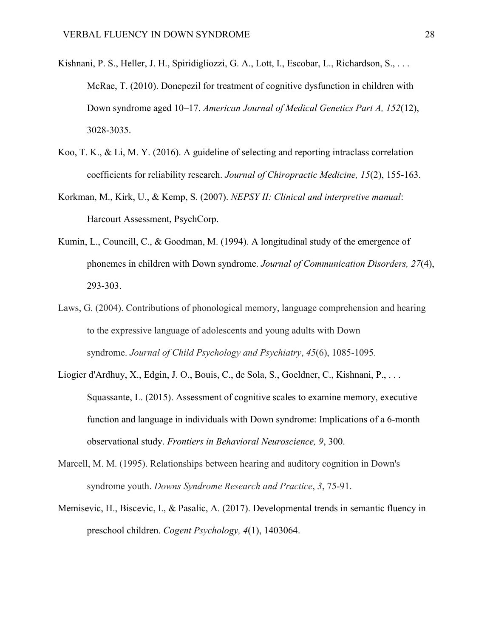- Kishnani, P. S., Heller, J. H., Spiridigliozzi, G. A., Lott, I., Escobar, L., Richardson, S., . . . McRae, T. (2010). Donepezil for treatment of cognitive dysfunction in children with Down syndrome aged 10–17. *American Journal of Medical Genetics Part A, 152*(12), 3028-3035.
- Koo, T. K., & Li, M. Y. (2016). A guideline of selecting and reporting intraclass correlation coefficients for reliability research. *Journal of Chiropractic Medicine, 15*(2), 155-163.
- Korkman, M., Kirk, U., & Kemp, S. (2007). *NEPSY II: Clinical and interpretive manual*: Harcourt Assessment, PsychCorp.
- Kumin, L., Councill, C., & Goodman, M. (1994). A longitudinal study of the emergence of phonemes in children with Down syndrome. *Journal of Communication Disorders, 27*(4), 293-303.
- Laws, G. (2004). Contributions of phonological memory, language comprehension and hearing to the expressive language of adolescents and young adults with Down syndrome. *Journal of Child Psychology and Psychiatry*, *45*(6), 1085-1095.
- Liogier d'Ardhuy, X., Edgin, J. O., Bouis, C., de Sola, S., Goeldner, C., Kishnani, P., . . . Squassante, L. (2015). Assessment of cognitive scales to examine memory, executive function and language in individuals with Down syndrome: Implications of a 6-month observational study. *Frontiers in Behavioral Neuroscience, 9*, 300.
- Marcell, M. M. (1995). Relationships between hearing and auditory cognition in Down's syndrome youth. *Downs Syndrome Research and Practice*, *3*, 75-91.
- Memisevic, H., Biscevic, I., & Pasalic, A. (2017). Developmental trends in semantic fluency in preschool children. *Cogent Psychology, 4*(1), 1403064.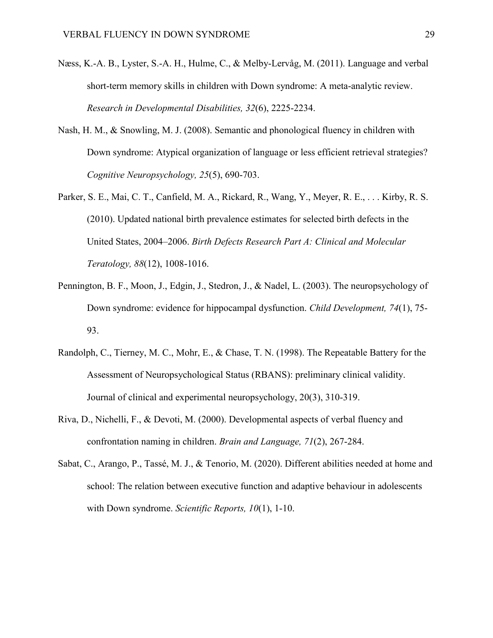- Næss, K.-A. B., Lyster, S.-A. H., Hulme, C., & Melby-Lervåg, M. (2011). Language and verbal short-term memory skills in children with Down syndrome: A meta-analytic review. *Research in Developmental Disabilities, 32*(6), 2225-2234.
- Nash, H. M., & Snowling, M. J. (2008). Semantic and phonological fluency in children with Down syndrome: Atypical organization of language or less efficient retrieval strategies? *Cognitive Neuropsychology, 25*(5), 690-703.
- Parker, S. E., Mai, C. T., Canfield, M. A., Rickard, R., Wang, Y., Meyer, R. E., . . . Kirby, R. S. (2010). Updated national birth prevalence estimates for selected birth defects in the United States, 2004–2006. *Birth Defects Research Part A: Clinical and Molecular Teratology, 88*(12), 1008-1016.
- Pennington, B. F., Moon, J., Edgin, J., Stedron, J., & Nadel, L. (2003). The neuropsychology of Down syndrome: evidence for hippocampal dysfunction. *Child Development, 74*(1), 75- 93.
- Randolph, C., Tierney, M. C., Mohr, E., & Chase, T. N. (1998). The Repeatable Battery for the Assessment of Neuropsychological Status (RBANS): preliminary clinical validity. Journal of clinical and experimental neuropsychology, 20(3), 310-319.
- Riva, D., Nichelli, F., & Devoti, M. (2000). Developmental aspects of verbal fluency and confrontation naming in children. *Brain and Language, 71*(2), 267-284.
- Sabat, C., Arango, P., Tassé, M. J., & Tenorio, M. (2020). Different abilities needed at home and school: The relation between executive function and adaptive behaviour in adolescents with Down syndrome. *Scientific Reports, 10*(1), 1-10.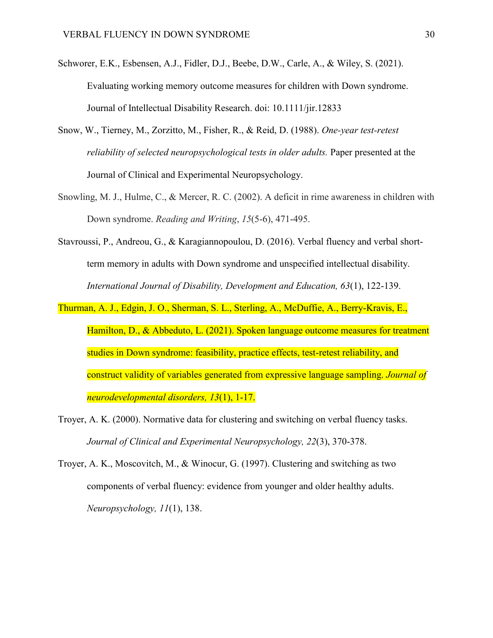- Schworer, E.K., Esbensen, A.J., Fidler, D.J., Beebe, D.W., Carle, A., & Wiley, S. (2021). Evaluating working memory outcome measures for children with Down syndrome. Journal of Intellectual Disability Research. doi: 10.1111/jir.12833
- Snow, W., Tierney, M., Zorzitto, M., Fisher, R., & Reid, D. (1988). *One-year test-retest reliability of selected neuropsychological tests in older adults.* Paper presented at the Journal of Clinical and Experimental Neuropsychology.
- Snowling, M. J., Hulme, C., & Mercer, R. C. (2002). A deficit in rime awareness in children with Down syndrome. *Reading and Writing*, *15*(5-6), 471-495.
- Stavroussi, P., Andreou, G., & Karagiannopoulou, D. (2016). Verbal fluency and verbal shortterm memory in adults with Down syndrome and unspecified intellectual disability. *International Journal of Disability, Development and Education, 63*(1), 122-139.
- Thurman, A. J., Edgin, J. O., Sherman, S. L., Sterling, A., McDuffie, A., Berry-Kravis, E., Hamilton, D., & Abbeduto, L. (2021). Spoken language outcome measures for treatment studies in Down syndrome: feasibility, practice effects, test-retest reliability, and construct validity of variables generated from expressive language sampling. *Journal of neurodevelopmental disorders, 13*(1), 1-17.
- Troyer, A. K. (2000). Normative data for clustering and switching on verbal fluency tasks. *Journal of Clinical and Experimental Neuropsychology, 22*(3), 370-378.
- Troyer, A. K., Moscovitch, M., & Winocur, G. (1997). Clustering and switching as two components of verbal fluency: evidence from younger and older healthy adults. *Neuropsychology, 11*(1), 138.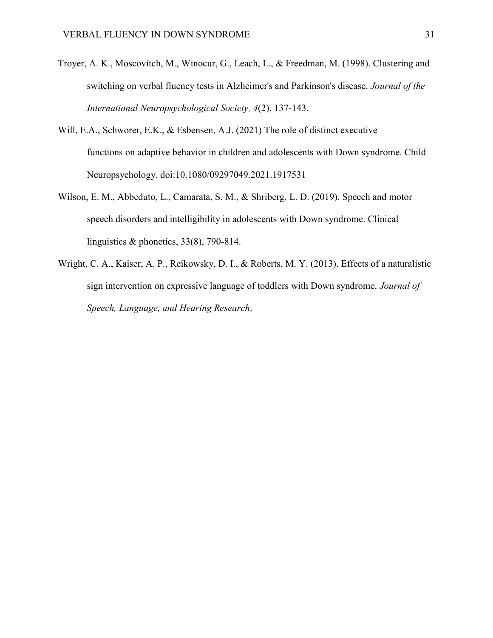- Troyer, A. K., Moscovitch, M., Winocur, G., Leach, L., & Freedman, M. (1998). Clustering and switching on verbal fluency tests in Alzheimer's and Parkinson's disease. *Journal of the International Neuropsychological Society, 4*(2), 137-143.
- Will, E.A., Schworer, E.K., & Esbensen, A.J. (2021) The role of distinct executive functions on adaptive behavior in children and adolescents with Down syndrome. Child Neuropsychology. doi:10.1080/09297049.2021.1917531
- Wilson, E. M., Abbeduto, L., Camarata, S. M., & Shriberg, L. D. (2019). Speech and motor speech disorders and intelligibility in adolescents with Down syndrome. Clinical linguistics & phonetics, 33(8), 790-814.
- Wright, C. A., Kaiser, A. P., Reikowsky, D. I., & Roberts, M. Y. (2013). Effects of a naturalistic sign intervention on expressive language of toddlers with Down syndrome. *Journal of Speech, Language, and Hearing Research*.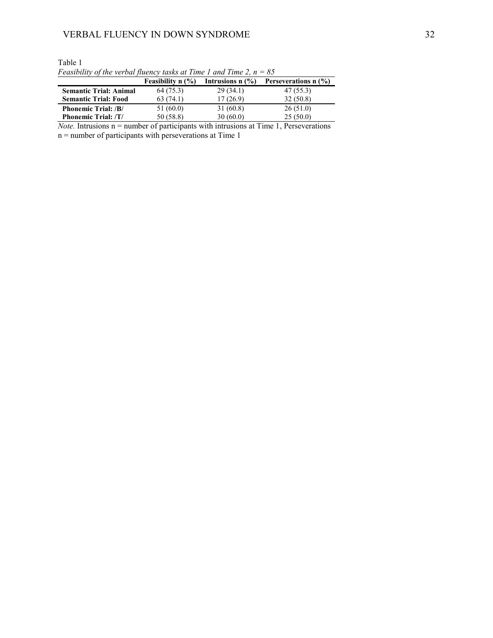|                               | <b>Feasibility n</b> $(\%)$ | Intrusions $n$ $\left(\frac{9}{6}\right)$ | Perseverations n (%) |
|-------------------------------|-----------------------------|-------------------------------------------|----------------------|
| <b>Semantic Trial: Animal</b> | 64 (75.3)                   | 29(34.1)                                  | 47 (55.3)            |
| <b>Semantic Trial: Food</b>   | 63(74.1)                    | 17 (26.9)                                 | 32(50.8)             |
| <b>Phonemic Trial: /B/</b>    | 51 (60.0)                   | 31 (60.8)                                 | 26(51.0)             |
| <b>Phonemic Trial: /T/</b>    | 50 (58.8)                   | 30(60.0)                                  | 25(50.0)             |

Table 1 *Feasibility of the verbal fluency tasks at Time 1 and Time 2, n = 85*

*Note.* Intrusions n = number of participants with intrusions at Time 1, Perseverations n = number of participants with perseverations at Time 1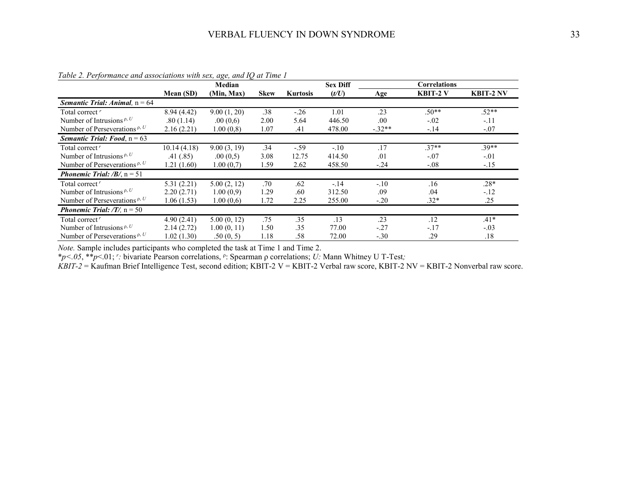|                                                    |             | Median      |             |                 | <b>Sex Diff</b> |          | <b>Correlations</b> |                  |
|----------------------------------------------------|-------------|-------------|-------------|-----------------|-----------------|----------|---------------------|------------------|
|                                                    | Mean (SD)   | (Min, Max)  | <b>Skew</b> | <b>Kurtosis</b> | (t/U)           | Age      | <b>KBIT-2 V</b>     | <b>KBIT-2 NV</b> |
| <b>Semantic Trial: Animal, <math>n = 64</math></b> |             |             |             |                 |                 |          |                     |                  |
| Total correct <sup>r</sup>                         | 8.94(4.42)  | 9.00(1, 20) | .38         | $-.26$          | 1.01            | .23      | $.50**$             | $.52**$          |
| Number of Intrusions $P, U$                        | .80(1.14)   | .00(0,6)    | 2.00        | 5.64            | 446.50          | .00      | $-.02$              | $-.11$           |
| Number of Perseverations $P, U$                    | 2.16(2.21)  | 1.00(0,8)   | 1.07        | .41             | 478.00          | $-.32**$ | $-.14$              | $-.07$           |
| <b>Semantic Trial: Food, <math>n = 63</math></b>   |             |             |             |                 |                 |          |                     |                  |
| Total correct <sup>r</sup>                         | 10.14(4.18) | 9.00(3, 19) | .34         | $-.59$          | $-.10$          | .17      | $.37**$             | $.39**$          |
| Number of Intrusions $P, U$                        | .41(.85)    | .00(0,5)    | 3.08        | 12.75           | 414.50          | .01      | $-.07$              | $-.01$           |
| Number of Perseverations $P, U$                    | 1.21(1.60)  | 1.00(0,7)   | 1.59        | 2.62            | 458.50          | $-.24$   | $-.08$              | $-.15$           |
| <b>Phonemic Trial:</b> / <b>B</b> /, $n = 51$      |             |             |             |                 |                 |          |                     |                  |
| Total correct <sup>r</sup>                         | 5.31(2.21)  | 5.00(2, 12) | .70         | .62             | $-.14$          | $-.10$   | .16                 | $.28*$           |
| Number of Intrusions $P, U$                        | 2.20(2.71)  | 1.00(0,9)   | 1.29        | .60             | 312.50          | .09      | .04                 | $-.12$           |
| Number of Perseverations $P, U$                    | 1.06(1.53)  | 1.00(0,6)   | 1.72        | 2.25            | 255.00          | $-.20$   | $.32*$              | .25              |
| <b>Phonemic Trial:</b> /T/, $n = 50$               |             |             |             |                 |                 |          |                     |                  |
| Total correct <sup>r</sup>                         | 4.90(2.41)  | 5.00(0, 12) | .75         | .35             | .13             | .23      | .12                 | $.41*$           |
| Number of Intrusions $P, U$                        | 2.14(2.72)  | 1.00(0, 11) | 1.50        | .35             | 77.00           | $-.27$   | $-.17$              | $-.03$           |
| Number of Perseverations $P, U$                    | 1.02(1.30)  | .50(0, 5)   | 1.18        | .58             | 72.00           | $-.30$   | .29                 | .18              |

*Table 2. Performance and associations with sex, age, and IQ at Time 1*

*Note.* Sample includes participants who completed the task at Time 1 and Time 2.

\**p<.05*, \*\**p*<.01; *<sup>r</sup> :* bivariate Pearson correlations, <sup>ρ</sup> : Spearman ρ correlations; *U:* Mann Whitney U T-Test*;*

*KBIT-2* = Kaufman Brief Intelligence Test, second edition; KBIT-2 V = KBIT-2 Verbal raw score, KBIT-2 NV = KBIT-2 Nonverbal raw score.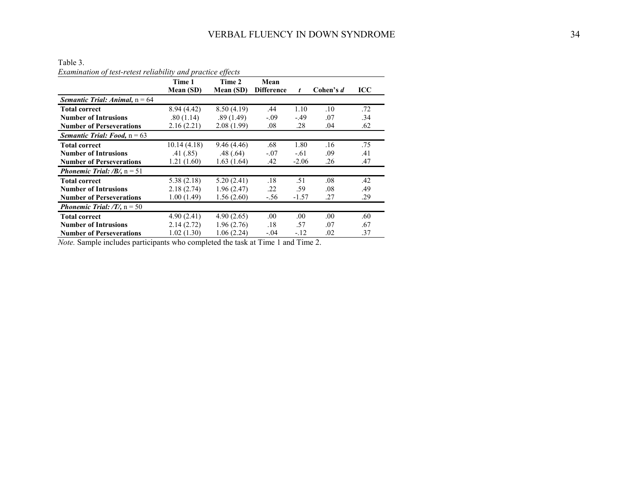Table 3.

|                                                    | Examination of test-retest reliability and practice effects |            |                   |         |           |            |  |  |
|----------------------------------------------------|-------------------------------------------------------------|------------|-------------------|---------|-----------|------------|--|--|
|                                                    | Time 1                                                      | Time 2     | Mean              |         |           |            |  |  |
|                                                    | Mean (SD)                                                   | Mean (SD)  | <b>Difference</b> | t       | Cohen's d | <b>ICC</b> |  |  |
| <b>Semantic Trial: Animal, <math>n = 64</math></b> |                                                             |            |                   |         |           |            |  |  |
| <b>Total correct</b>                               | 8.94(4.42)                                                  | 8.50(4.19) | .44               | 1.10    | .10       | .72        |  |  |
| <b>Number of Intrusions</b>                        | .80(1.14)                                                   | .89(1.49)  | $-.09$            | $-.49$  | .07       | .34        |  |  |
| <b>Number of Perseverations</b>                    | 2.16(2.21)                                                  | 2.08(1.99) | .08               | .28     | .04       | .62        |  |  |
| <b>Semantic Trial: Food, <math>n = 63</math></b>   |                                                             |            |                   |         |           |            |  |  |
| <b>Total correct</b>                               | 10.14(4.18)                                                 | 9.46(4.46) | .68               | 1.80    | .16       | .75        |  |  |
| <b>Number of Intrusions</b>                        | .41(.85)                                                    | .48(.64)   | $-.07$            | $-.61$  | .09       | .41        |  |  |
| <b>Number of Perseverations</b>                    | 1.21(1.60)                                                  | 1.63(1.64) | .42               | $-2.06$ | .26       | .47        |  |  |
| <b>Phonemic Trial:</b> / <b>B</b> /, $n = 51$      |                                                             |            |                   |         |           |            |  |  |
| <b>Total correct</b>                               | 5.38(2.18)                                                  | 5.20(2.41) | .18               | .51     | .08       | .42        |  |  |
| <b>Number of Intrusions</b>                        | 2.18(2.74)                                                  | 1.96(2.47) | .22               | .59     | .08       | .49        |  |  |
| <b>Number of Perseverations</b>                    | 1.00(1.49)                                                  | 1.56(2.60) | $-.56$            | $-1.57$ | .27       | .29        |  |  |
| <b>Phonemic Trial:</b> $/T$ , n = 50               |                                                             |            |                   |         |           |            |  |  |
| <b>Total correct</b>                               | 4.90(2.41)                                                  | 4.90(2.65) | .00.              | .00.    | .00.      | .60        |  |  |
| <b>Number of Intrusions</b>                        | 2.14(2.72)                                                  | 1.96(2.76) | .18               | .57     | .07       | .67        |  |  |
| <b>Number of Perseverations</b>                    | 1.02(1.30)                                                  | 1.06(2.24) | $-.04$            | $-.12$  | .02       | .37        |  |  |

*Examination of test-retest reliability and practice effects* 

*Note.* Sample includes participants who completed the task at Time 1 and Time 2.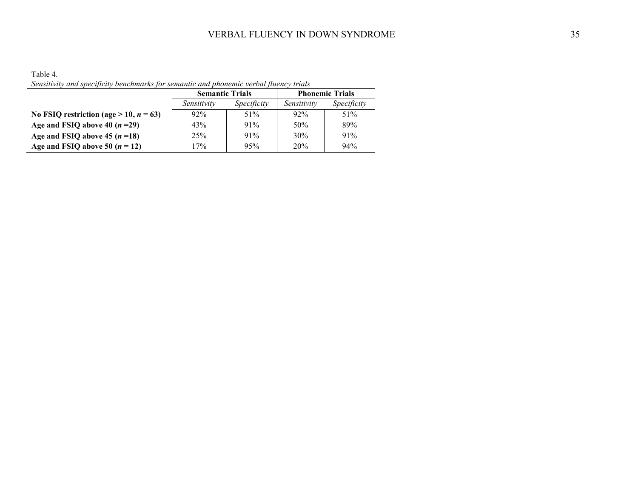Table 4. *Sensitivity and specificity benchmarks for semantic and phonemic verbal fluency trials* 

|                                              | <b>Semantic Trials</b>     |     | <b>Phonemic Trials</b> |             |  |
|----------------------------------------------|----------------------------|-----|------------------------|-------------|--|
|                                              | Specificity<br>Sensitivity |     | Sensitivity            | Specificity |  |
| No FSIQ restriction (age $> 10$ , $n = 63$ ) | 92%                        | 51% | $92\%$                 | 51%         |  |
| Age and FSIQ above 40 $(n=29)$               | 43%                        | 91% | 50%                    | 89%         |  |
| Age and FSIQ above 45 $(n=18)$               | 25%                        | 91% | 30%                    | 91%         |  |
| Age and FSIQ above 50 $(n = 12)$             | 17%                        | 95% | 20%                    | 94%         |  |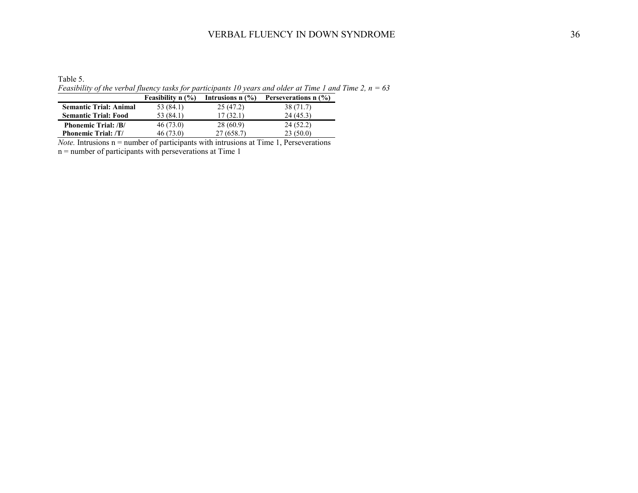# VERBAL FLUENCY IN DOWN SYNDROME 36

Table 5. *Feasibility of the verbal fluency tasks for participants 10 years and older at Time 1 and Time 2, n = 63*

|                               | <b>Feasibility n</b> $(\%)$ | Intrusions $n$ $\left(\frac{9}{6}\right)$ | Perseverations $n$ (%) |
|-------------------------------|-----------------------------|-------------------------------------------|------------------------|
| <b>Semantic Trial: Animal</b> | 53 (84.1)                   | 25(47.2)                                  | 38 (71.7)              |
| <b>Semantic Trial: Food</b>   | 53 (84.1)                   | 17(32.1)                                  | 24(45.3)               |
| <b>Phonemic Trial: /B/</b>    | 46(73.0)                    | 28 (60.9)                                 | 24(52.2)               |
| <b>Phonemic Trial: /T/</b>    | 46(73.0)                    | 27(658.7)                                 | 23(50.0)               |

*Note.* Intrusions n = number of participants with intrusions at Time 1, Perseverations n = number of participants with perseverations at Time 1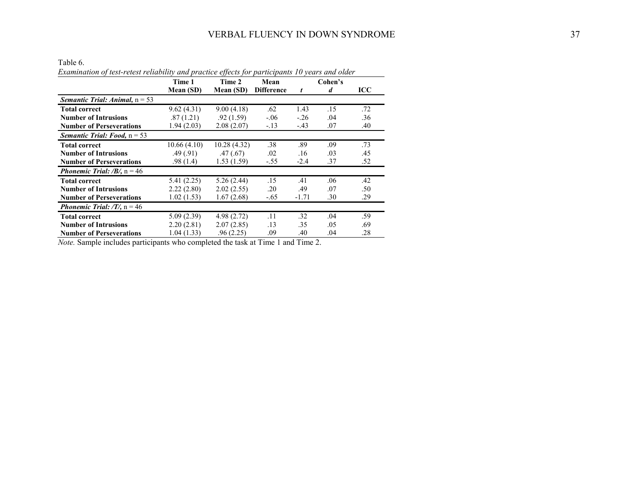Table 6.

| lable 6.                                                                                        |             |                  |                   |         |                  |            |
|-------------------------------------------------------------------------------------------------|-------------|------------------|-------------------|---------|------------------|------------|
| Examination of test-retest reliability and practice effects for participants 10 years and older |             |                  |                   |         |                  |            |
|                                                                                                 | Time 1      | Time 2           | Mean              |         | Cohen's          |            |
|                                                                                                 | Mean (SD)   | <b>Mean (SD)</b> | <b>Difference</b> | t       | $\boldsymbol{d}$ | <b>ICC</b> |
| <b>Semantic Trial: Animal, <math>n = 53</math></b>                                              |             |                  |                   |         |                  |            |
| <b>Total correct</b>                                                                            | 9.62(4.31)  | 9.00(4.18)       | .62               | 1.43    | .15              | .72        |
| <b>Number of Intrusions</b>                                                                     | .87(1.21)   | .92(1.59)        | $-.06$            | $-.26$  | .04              | .36        |
| <b>Number of Perseverations</b>                                                                 | 1.94(2.03)  | 2.08(2.07)       | $-.13$            | $-.43$  | .07              | .40        |
| <b>Semantic Trial: Food, <math>n = 53</math></b>                                                |             |                  |                   |         |                  |            |
| <b>Total correct</b>                                                                            | 10.66(4.10) | 10.28(4.32)      | .38               | .89     | .09              | .73        |
| <b>Number of Intrusions</b>                                                                     | .49(.91)    | .47(.67)         | .02               | .16     | .03              | .45        |
| <b>Number of Perseverations</b>                                                                 | .98(1.4)    | 1.53(1.59)       | $-.55$            | $-2.4$  | .37              | .52        |
| <b>Phonemic Trial:</b> / <b>B</b> /, $n = 46$                                                   |             |                  |                   |         |                  |            |
| <b>Total correct</b>                                                                            | 5.41(2.25)  | 5.26(2.44)       | .15               | .41     | .06              | .42        |
| <b>Number of Intrusions</b>                                                                     | 2.22(2.80)  | 2.02(2.55)       | .20               | .49     | .07              | .50        |
| <b>Number of Perseverations</b>                                                                 | 1.02(1.53)  | 1.67(2.68)       | $-.65$            | $-1.71$ | .30              | .29        |
| <b>Phonemic Trial:</b> /T/, $n = 46$                                                            |             |                  |                   |         |                  |            |
| <b>Total correct</b>                                                                            | 5.09(2.39)  | 4.98 (2.72)      | .11               | .32     | .04              | .59        |
| <b>Number of Intrusions</b>                                                                     | 2.20(2.81)  | 2.07(2.85)       | .13               | .35     | .05              | .69        |
| <b>Number of Perseverations</b>                                                                 | 1.04(1.33)  | .96(2.25)        | .09               | .40     | .04              | .28        |

*Note.* Sample includes participants who completed the task at Time 1 and Time 2.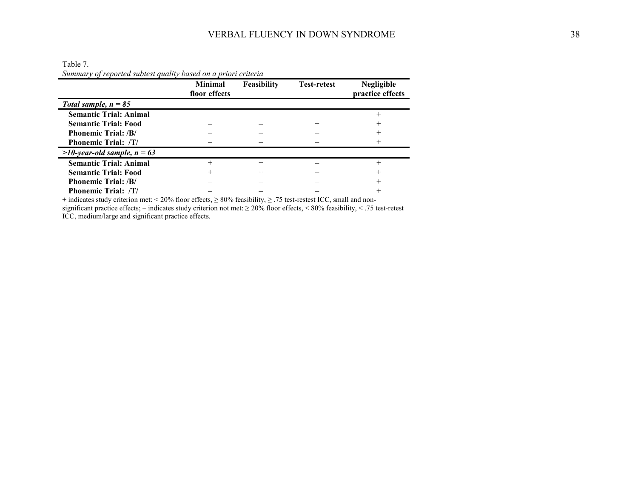|                                  | <b>Minimal</b><br>floor effects | Feasibility | <b>Test-retest</b> | <b>Negligible</b><br>practice effects |
|----------------------------------|---------------------------------|-------------|--------------------|---------------------------------------|
| Total sample, $n = 85$           |                                 |             |                    |                                       |
| <b>Semantic Trial: Animal</b>    |                                 |             |                    |                                       |
| <b>Semantic Trial: Food</b>      |                                 |             |                    |                                       |
| <b>Phonemic Trial: /B/</b>       |                                 |             |                    |                                       |
| <b>Phonemic Trial: /T/</b>       |                                 |             |                    |                                       |
| $>10$ -year-old sample, $n = 63$ |                                 |             |                    |                                       |
| <b>Semantic Trial: Animal</b>    |                                 |             |                    |                                       |
| <b>Semantic Trial: Food</b>      |                                 |             |                    |                                       |
| <b>Phonemic Trial: /B/</b>       |                                 |             |                    |                                       |
| <b>Phonemic Trial: /T/</b>       |                                 |             |                    |                                       |
|                                  |                                 |             |                    |                                       |

Table 7. *Summary of reported subtest quality based on a priori criteria*

+ indicates study criterion met:  $\leq 20\%$  floor effects,  $\geq 80\%$  feasibility,  $\geq .75$  test-restest ICC, small and non-

significant practice effects; – indicates study criterion not met:  $\geq 20\%$  floor effects, < 80% feasibility, < .75 test-retest ICC, medium/large and significant practice effects.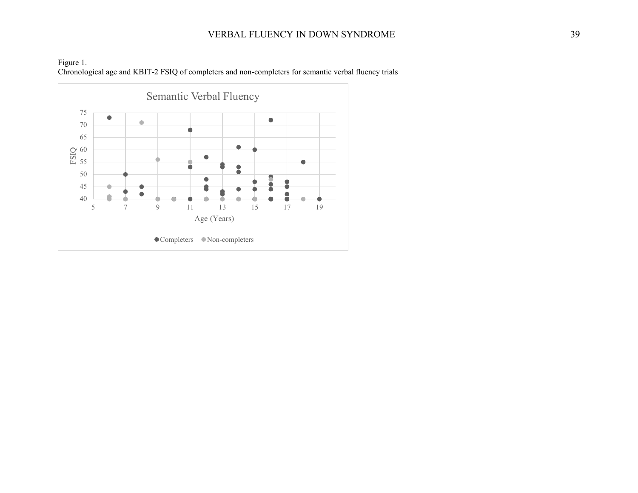# VERBAL FLUENCY IN DOWN SYNDROME 39